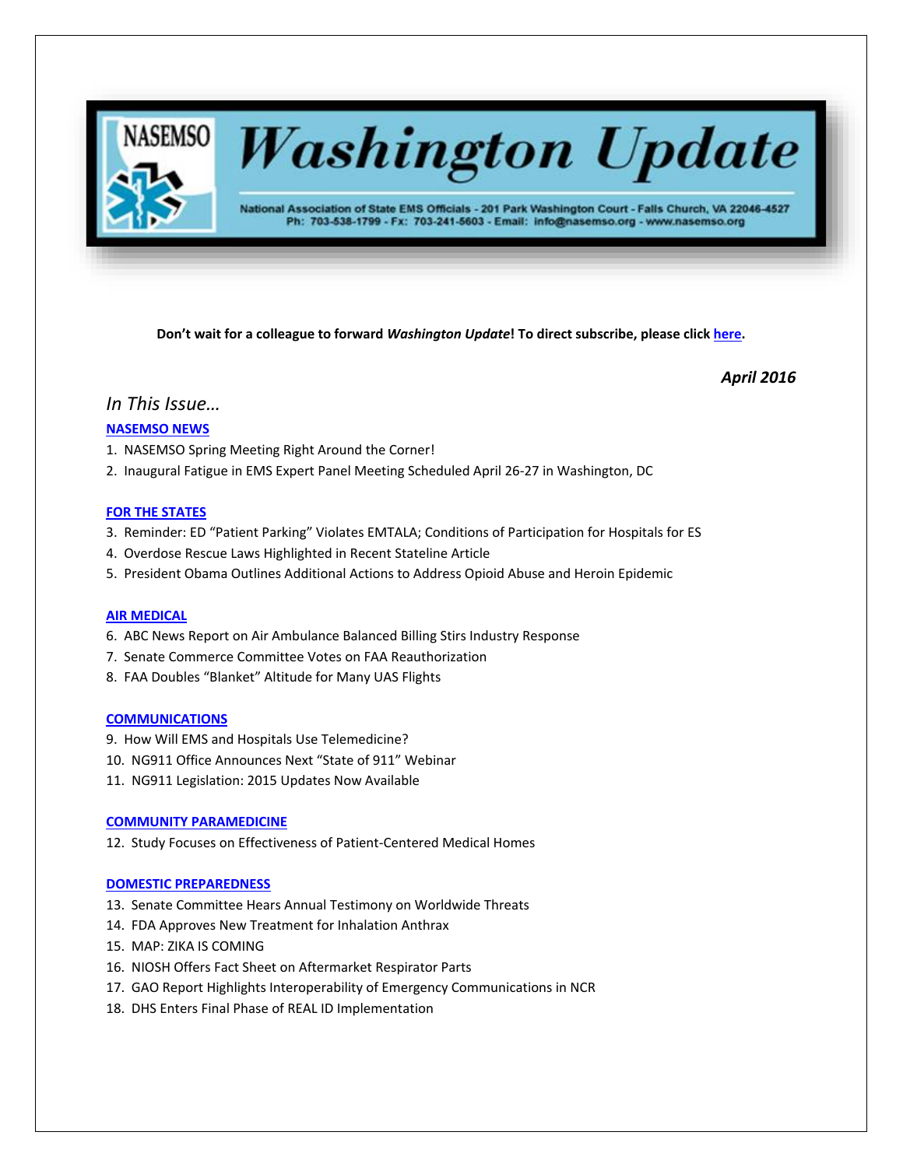

**Don't wait for a colleague to forward** *Washington Update***! To direct subscribe, please click [here.](http://lists.nasemso.org/read/all_forums/subscribe?name=wu%20)**

*April 2016*

## *In This Issue…*

## **[NASEMSO NEWS](#page-1-0)**

- 1. NASEMSO Spring Meeting Right Around the Corner!
- 2. Inaugural Fatigue in EMS Expert Panel Meeting Scheduled April 26-27 in Washington, DC

## **[FOR THE STATES](#page-2-0)**

- 3. Reminder: ED "Patient Parking" Violates EMTALA; Conditions of Participation for Hospitals for ES
- 4. Overdose Rescue Laws Highlighted in Recent Stateline Article
- 5. President Obama Outlines Additional Actions to Address Opioid Abuse and Heroin Epidemic

## **AIR MEDICAL**

- 6. ABC News Report on Air Ambulance Balanced Billing Stirs Industry Response
- 7. Senate Commerce Committee Votes on FAA Reauthorization
- 8. FAA Doubles "Blanket" Altitude for Many UAS Flights

## **[COMMUNICATIONS](#page-3-0)**

- 9. How Will EMS and Hospitals Use Telemedicine?
- 10. NG911 Office Announces Next "State of 911" Webinar
- 11. NG911 Legislation: 2015 Updates Now Available

## **[COMMUNITY PARAMEDICINE](#page-5-0)**

12. Study Focuses on Effectiveness of Patient-Centered Medical Homes

## **[DOMESTIC PREPAREDNESS](#page-5-0)**

- 13. Senate Committee Hears Annual Testimony on Worldwide Threats
- 14. FDA Approves New Treatment for Inhalation Anthrax
- 15. MAP: ZIKA IS COMING
- 16. NIOSH Offers Fact Sheet on Aftermarket Respirator Parts
- 17. GAO Report Highlights Interoperability of Emergency Communications in NCR
- 18. DHS Enters Final Phase of REAL ID Implementation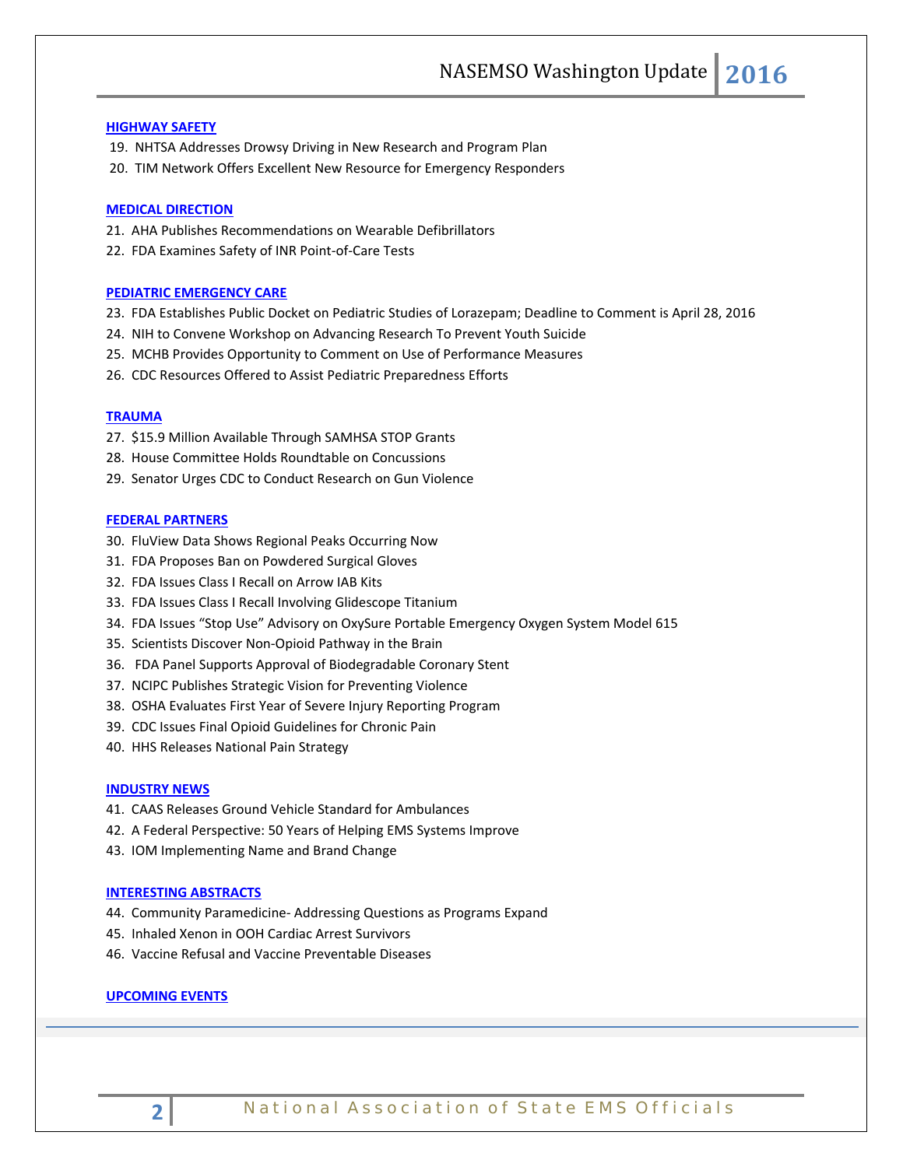#### **[HIGHWAY SAFETY](#page-7-0)**

- 19. NHTSA Addresses Drowsy Driving in New Research and Program Plan
- 20. TIM Network Offers Excellent New Resource for Emergency Responders

#### **[MEDICAL DIRECTION](#page-7-0)**

- 21. AHA Publishes Recommendations on Wearable Defibrillators
- 22. FDA Examines Safety of INR Point-of-Care Tests

## **[PEDIATRIC EMERGENCY CARE](#page-8-0)**

- 23. FDA Establishes Public Docket on Pediatric Studies of Lorazepam; Deadline to Comment is April 28, 2016
- 24. NIH to Convene Workshop on Advancing Research To Prevent Youth Suicide
- 25. MCHB Provides Opportunity to Comment on Use of Performance Measures
- 26. CDC Resources Offered to Assist Pediatric Preparedness Efforts

## **[TRAUMA](#page-10-0)**

- 27. \$15.9 Million Available Through SAMHSA STOP Grants
- 28. House Committee Holds Roundtable on Concussions
- 29. Senator Urges CDC to Conduct Research on Gun Violence

#### **[FEDERAL PARTNERS](#page-11-0)**

- 30. FluView Data Shows Regional Peaks Occurring Now
- 31. FDA Proposes Ban on Powdered Surgical Gloves
- 32. FDA Issues Class I Recall on Arrow IAB Kits
- 33. FDA Issues Class I Recall Involving Glidescope Titanium
- 34. FDA Issues "Stop Use" Advisory on OxySure Portable Emergency Oxygen System Model 615
- 35. Scientists Discover Non-Opioid Pathway in the Brain
- 36. FDA Panel Supports Approval of Biodegradable Coronary Stent
- 37. NCIPC Publishes Strategic Vision for Preventing Violence
- 38. OSHA Evaluates First Year of Severe Injury Reporting Program
- 39. CDC Issues Final Opioid Guidelines for Chronic Pain
- 40. HHS Releases National Pain Strategy

#### **[INDUSTRY NEWS](#page-13-0)**

- 41. CAAS Releases Ground Vehicle Standard for Ambulances
- 42. A Federal Perspective: 50 Years of Helping EMS Systems Improve
- 43. IOM Implementing Name and Brand Change

#### **[INTERESTING ABSTRACTS](#page-14-0)**

- 44. Community Paramedicine- Addressing Questions as Programs Expand
- 45. Inhaled Xenon in OOH Cardiac Arrest Survivors
- 46. Vaccine Refusal and Vaccine Preventable Diseases

## <span id="page-1-0"></span>**UPCOMING EVENTS**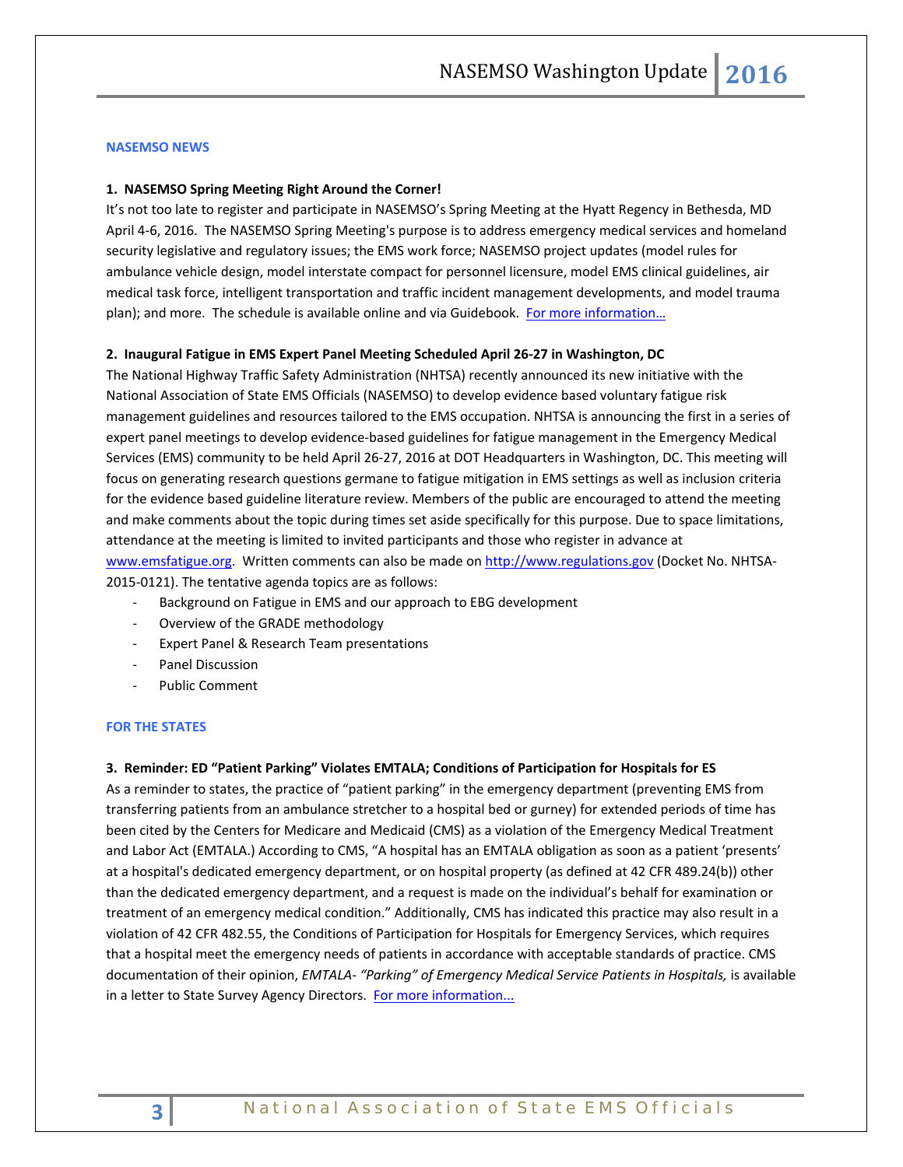#### **NASEMSO NEWS**

#### **1. NASEMSO Spring Meeting Right Around the Corner!**

It's not too late to register and participate in NASEMSO's Spring Meeting at the Hyatt Regency in Bethesda, MD April 4-6, 2016. The NASEMSO Spring Meeting's purpose is to address emergency medical services and homeland security legislative and regulatory issues; the EMS work force; NASEMSO project updates (model rules for ambulance vehicle design, model interstate compact for personnel licensure, model EMS clinical guidelines, air medical task force, intelligent transportation and traffic incident management developments, and model trauma plan); and more. The schedule is available online and via Guidebook. For more information...

### **2. Inaugural Fatigue in EMS Expert Panel Meeting Scheduled April 26-27 in Washington, DC**

The National Highway Traffic Safety Administration (NHTSA) recently announced its new initiative with the National Association of State EMS Officials (NASEMSO) to develop evidence based voluntary fatigue risk management guidelines and resources tailored to the EMS occupation. NHTSA is announcing the first in a series of expert panel meetings to develop evidence-based guidelines for fatigue management in the Emergency Medical Services (EMS) community to be held April 26-27, 2016 at DOT Headquarters in Washington, DC. This meeting will focus on generating research questions germane to fatigue mitigation in EMS settings as well as inclusion criteria for the evidence based guideline literature review. Members of the public are encouraged to attend the meeting and make comments about the topic during times set aside specifically for this purpose. Due to space limitations, attendance at the meeting is limited to invited participants and those who register in advance at [www.emsfatigue.org.](http://www.emsfatigue.org/) Written comments can also be made on [http://www.regulations.gov](http://www.regulations.gov/) (Docket No. NHTSA-2015-0121). The tentative agenda topics are as follows:

- Background on Fatigue in EMS and our approach to EBG development
- Overview of the GRADE methodology
- Expert Panel & Research Team presentations
- Panel Discussion
- Public Comment

#### <span id="page-2-0"></span>**FOR THE STATES**

## **3. Reminder: ED "Patient Parking" Violates EMTALA; Conditions of Participation for Hospitals for ES**

As a reminder to states, the practice of "patient parking" in the emergency department (preventing EMS from transferring patients from an ambulance stretcher to a hospital bed or gurney) for extended periods of time has been cited by the Centers for Medicare and Medicaid (CMS) as a violation of the Emergency Medical Treatment and Labor Act (EMTALA.) According to CMS, "A hospital has an EMTALA obligation as soon as a patient 'presents' at a hospital's dedicated emergency department, or on hospital property (as defined at 42 CFR 489.24(b)) other than the dedicated emergency department, and a request is made on the individual's behalf for examination or treatment of an emergency medical condition." Additionally, CMS has indicated this practice may also result in a violation of 42 CFR 482.55, the Conditions of Participation for Hospitals for Emergency Services, which requires that a hospital meet the emergency needs of patients in accordance with acceptable standards of practice. CMS documentation of their opinion, *EMTALA- "Parking" of Emergency Medical Service Patients in Hospitals,* is available in a letter to State Survey Agency Directors. [For more information...](https://www.cms.gov/Medicare/Provider-Enrollment-and-Certification/SurveyCertificationGenInfo/downloads/SCLetter06-21.pdf)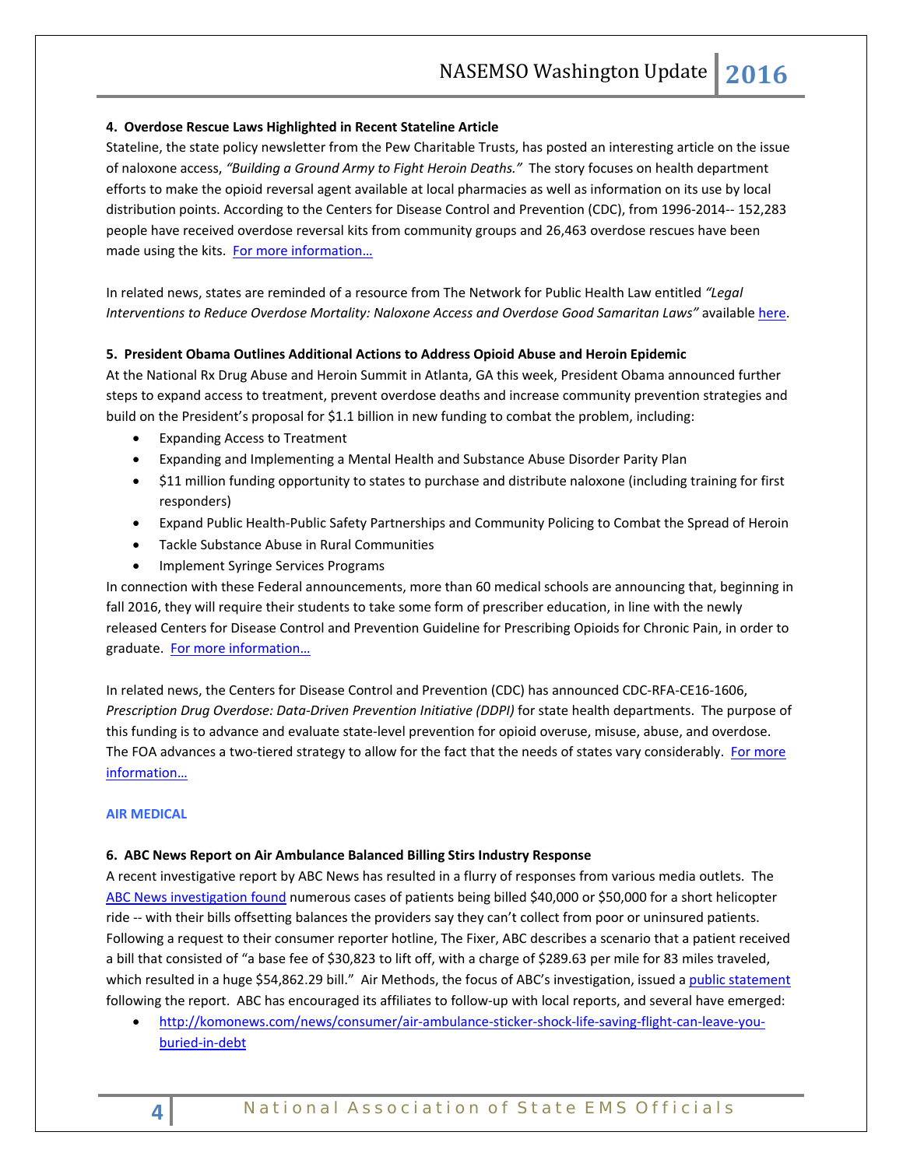## **4. Overdose Rescue Laws Highlighted in Recent Stateline Article**

Stateline, the state policy newsletter from the Pew Charitable Trusts, has posted an interesting article on the issue of naloxone access, *"Building a Ground Army to Fight Heroin Deaths."* The story focuses on health department efforts to make the opioid reversal agent available at local pharmacies as well as information on its use by local distribution points. According to the Centers for Disease Control and Prevention (CDC), from 1996-2014-- 152,283 people have received overdose reversal kits from community groups and 26,463 overdose rescues have been made using the kits. For more information...

<span id="page-3-0"></span>In related news, states are reminded of a resource from The Network for Public Health Law entitled *"Legal Interventions to Reduce Overdose Mortality: Naloxone Access and Overdose Good Samaritan Laws"* availabl[e here.](https://www.networkforphl.org/_asset/qz5pvn/legal-interventions-to-reduce-overdose.pdf)

## **5. President Obama Outlines Additional Actions to Address Opioid Abuse and Heroin Epidemic**

At the National Rx Drug Abuse and Heroin Summit in Atlanta, GA this week, President Obama announced further steps to expand access to treatment, prevent overdose deaths and increase community prevention strategies and build on the President's proposal for \$1.1 billion in new funding to combat the problem, including:

- Expanding Access to Treatment
- Expanding and Implementing a Mental Health and Substance Abuse Disorder Parity Plan
- \$11 million funding opportunity to states to purchase and distribute naloxone (including training for first responders)
- Expand Public Health-Public Safety Partnerships and Community Policing to Combat the Spread of Heroin
- Tackle Substance Abuse in Rural Communities
- Implement Syringe Services Programs

In connection with these Federal announcements, more than 60 medical schools are announcing that, beginning in fall 2016, they will require their students to take some form of prescriber education, in line with the newly released Centers for Disease Control and Prevention Guideline for Prescribing Opioids for Chronic Pain, in order to graduate. [For more information…](https://www.whitehouse.gov/blog/2016/03/29/president-obama-taking-more-action-address-prescription-drug-abuse-epidemic-0)

In related news, the Centers for Disease Control and Prevention (CDC) has announced CDC-RFA-CE16-1606, *Prescription Drug Overdose: Data-Driven Prevention Initiative (DDPI)* for state health departments. The purpose of this funding is to advance and evaluate state-level prevention for opioid overuse, misuse, abuse, and overdose. The FOA advances a two-tiered strategy to allow for the fact that the needs of states vary considerably. For more [information…](http://www.grants.gov/web/grants/view-opportunity.html?oppId=282529)

## **AIR MEDICAL**

## **6. ABC News Report on Air Ambulance Balanced Billing Stirs Industry Response**

A recent investigative report by ABC News has resulted in a flurry of responses from various media outlets. The [ABC News investigation found](http://abcnews.go.com/US/sky-rage-bills-debt-lawsuits-follow-helicopter-medevac/story?id=37669153) numerous cases of patients being billed \$40,000 or \$50,000 for a short helicopter ride -- with their bills offsetting balances the providers say they can't collect from poor or uninsured patients. Following a request to their consumer reporter hotline, The Fixer, ABC describes a scenario that a patient received a bill that consisted of "a base fee of \$30,823 to lift off, with a charge of \$289.63 per mile for 83 miles traveled, which resulted in a huge \$54,862.29 bill." Air Methods, the focus of ABC's investigation, issued [a public statement](http://www.airmethods.com/airmethods/investors/press-releases/detail/2016/03/17/air-methods-responds-to-abc-news#.VvA5-ClUlCM) following the report. ABC has encouraged its affiliates to follow-up with local reports, and several have emerged:

• [http://komonews.com/news/consumer/air-ambulance-sticker-shock-life-saving-flight-can-leave-you](http://komonews.com/news/consumer/air-ambulance-sticker-shock-life-saving-flight-can-leave-you-buried-in-debt)[buried-in-debt](http://komonews.com/news/consumer/air-ambulance-sticker-shock-life-saving-flight-can-leave-you-buried-in-debt)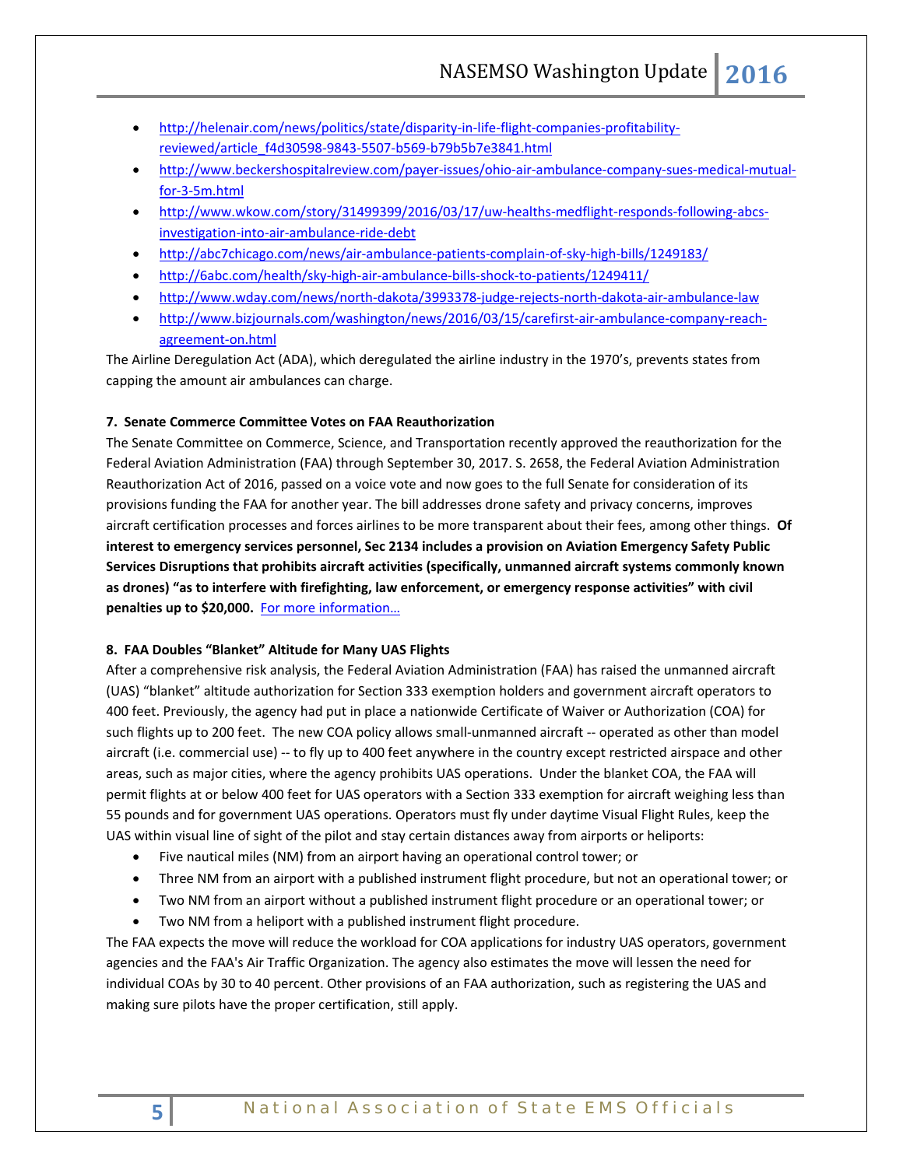- [http://helenair.com/news/politics/state/disparity-in-life-flight-companies-profitability](http://helenair.com/news/politics/state/disparity-in-life-flight-companies-profitability-reviewed/article_f4d30598-9843-5507-b569-b79b5b7e3841.html)[reviewed/article\\_f4d30598-9843-5507-b569-b79b5b7e3841.html](http://helenair.com/news/politics/state/disparity-in-life-flight-companies-profitability-reviewed/article_f4d30598-9843-5507-b569-b79b5b7e3841.html)
- [http://www.beckershospitalreview.com/payer-issues/ohio-air-ambulance-company-sues-medical-mutual](http://www.beckershospitalreview.com/payer-issues/ohio-air-ambulance-company-sues-medical-mutual-for-3-5m.html)[for-3-5m.html](http://www.beckershospitalreview.com/payer-issues/ohio-air-ambulance-company-sues-medical-mutual-for-3-5m.html)
- [http://www.wkow.com/story/31499399/2016/03/17/uw-healths-medflight-responds-following-abcs](http://www.wkow.com/story/31499399/2016/03/17/uw-healths-medflight-responds-following-abcs-investigation-into-air-ambulance-ride-debt)[investigation-into-air-ambulance-ride-debt](http://www.wkow.com/story/31499399/2016/03/17/uw-healths-medflight-responds-following-abcs-investigation-into-air-ambulance-ride-debt)
- <http://abc7chicago.com/news/air-ambulance-patients-complain-of-sky-high-bills/1249183/>
- <http://6abc.com/health/sky-high-air-ambulance-bills-shock-to-patients/1249411/>
- <http://www.wday.com/news/north-dakota/3993378-judge-rejects-north-dakota-air-ambulance-law>
- [http://www.bizjournals.com/washington/news/2016/03/15/carefirst-air-ambulance-company-reach](http://www.bizjournals.com/washington/news/2016/03/15/carefirst-air-ambulance-company-reach-agreement-on.html)[agreement-on.html](http://www.bizjournals.com/washington/news/2016/03/15/carefirst-air-ambulance-company-reach-agreement-on.html)

The Airline Deregulation Act (ADA), which deregulated the airline industry in the 1970's, prevents states from capping the amount air ambulances can charge.

## **7. Senate Commerce Committee Votes on FAA Reauthorization**

The Senate Committee on Commerce, Science, and Transportation recently approved the reauthorization for the Federal Aviation Administration (FAA) through September 30, 2017. S. 2658, the Federal Aviation Administration Reauthorization Act of 2016, passed on a voice vote and now goes to the full Senate for consideration of its provisions funding the FAA for another year. The bill addresses drone safety and privacy concerns, improves aircraft certification processes and forces airlines to be more transparent about their fees, among other things. **Of interest to emergency services personnel, Sec 2134 includes a provision on Aviation Emergency Safety Public Services Disruptions that prohibits aircraft activities (specifically, unmanned aircraft systems commonly known as drones) "as to interfere with firefighting, law enforcement, or emergency response activities" with civil penalties up to \$20,000.** [For more information…](https://www.congress.gov/bill/114th-congress/senate-bill/2658/text)

## **8. FAA Doubles "Blanket" Altitude for Many UAS Flights**

After a comprehensive risk analysis, the Federal Aviation Administration (FAA) has raised the unmanned aircraft (UAS) "blanket" altitude authorization for Section 333 exemption holders and government aircraft operators to 400 feet. Previously, the agency had put in place a nationwide Certificate of Waiver or Authorization (COA) for such flights up to 200 feet. The new COA policy allows small-unmanned aircraft -- operated as other than model aircraft (i.e. commercial use) -- to fly up to 400 feet anywhere in the country except restricted airspace and other areas, such as major cities, where the agency prohibits UAS operations. Under the blanket COA, the FAA will permit flights at or below 400 feet for UAS operators with a Section 333 exemption for aircraft weighing less than 55 pounds and for government UAS operations. Operators must fly under daytime Visual Flight Rules, keep the UAS within visual line of sight of the pilot and stay certain distances away from airports or heliports:

- Five nautical miles (NM) from an airport having an operational control tower; or
- Three NM from an airport with a published instrument flight procedure, but not an operational tower; or
- Two NM from an airport without a published instrument flight procedure or an operational tower; or
- Two NM from a heliport with a published instrument flight procedure.

The FAA expects the move will reduce the workload for COA applications for industry UAS operators, government agencies and the FAA's Air Traffic Organization. The agency also estimates the move will lessen the need for individual COAs by 30 to 40 percent. Other provisions of an FAA authorization, such as registering the UAS and making sure pilots have the proper certification, still apply.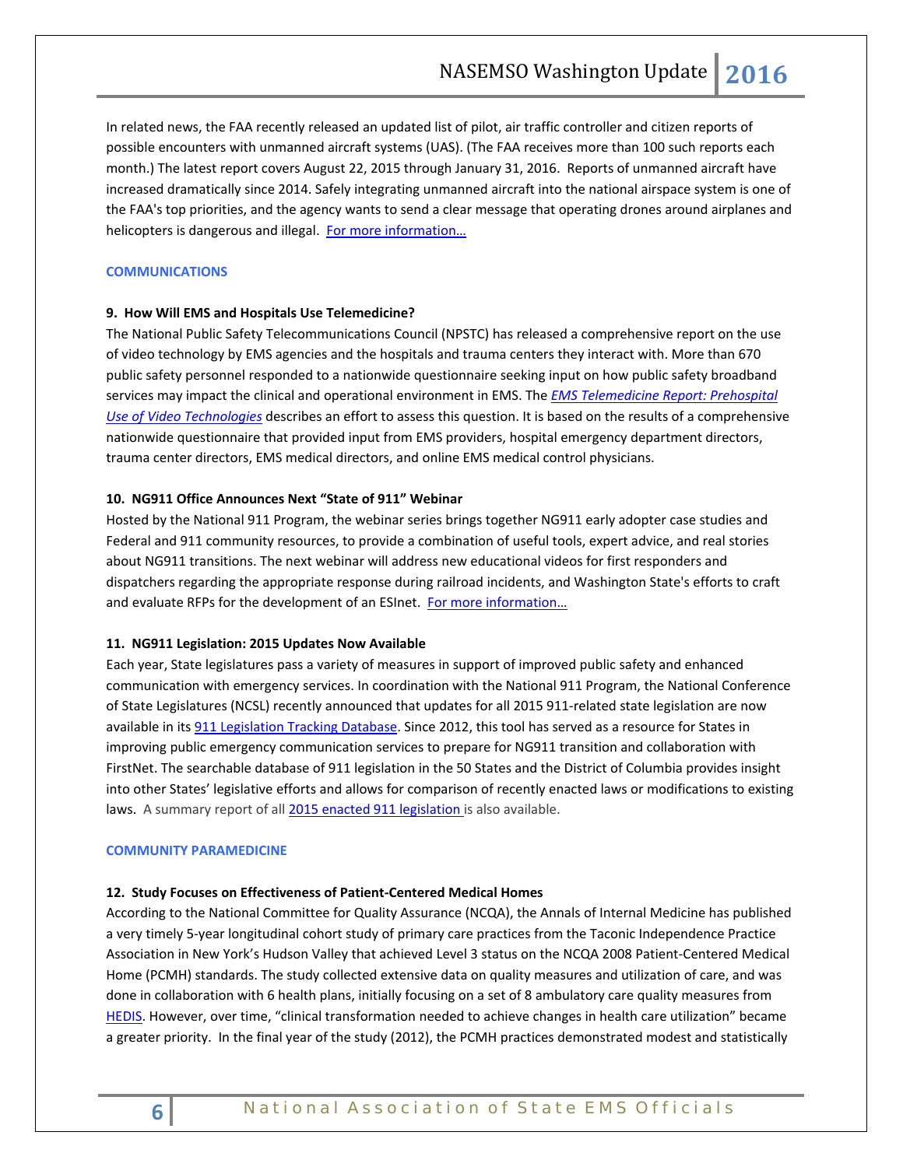In related news, the FAA recently released an updated list of pilot, air traffic controller and citizen reports of possible encounters with unmanned aircraft systems (UAS). (The FAA receives more than 100 such reports each month.) The latest report covers August 22, 2015 through January 31, 2016. Reports of unmanned aircraft have increased dramatically since 2014. Safely integrating unmanned aircraft into the national airspace system is one of the FAA's top priorities, and the agency wants to send a clear message that operating drones around airplanes and helicopters is dangerous and illegal. For more information...

## **COMMUNICATIONS**

## **9. How Will EMS and Hospitals Use Telemedicine?**

The National Public Safety Telecommunications Council (NPSTC) has released a comprehensive report on the use of video technology by EMS agencies and the hospitals and trauma centers they interact with. More than 670 public safety personnel responded to a nationwide questionnaire seeking input on how public safety broadband services may impact the clinical and operational environment in EMS. The *[EMS Telemedicine Report: Prehospital](http://npstc.org/download.jsp?tableId=37&column=217&id=3612&file=EMS_Telemedicine_Report_Final_20160303.pdf)  [Use of Video Technologies](http://npstc.org/download.jsp?tableId=37&column=217&id=3612&file=EMS_Telemedicine_Report_Final_20160303.pdf)* describes an effort to assess this question. It is based on the results of a comprehensive nationwide questionnaire that provided input from EMS providers, hospital emergency department directors, trauma center directors, EMS medical directors, and online EMS medical control physicians.

### **10. NG911 Office Announces Next "State of 911" Webinar**

Hosted by the National 911 Program, the webinar series brings together NG911 early adopter case studies and Federal and 911 community resources, to provide a combination of useful tools, expert advice, and real stories about NG911 transitions. The next webinar will address new educational videos for first responders and dispatchers regarding the appropriate response during railroad incidents, and Washington State's efforts to craft and evaluate RFPs for the development of an ESInet. [For more information…](https://content.govdelivery.com/accounts/USDOTNHTSA911/bulletins/13bf6ed)

#### **11. NG911 Legislation: 2015 Updates Now Available**

Each year, State legislatures pass a variety of measures in support of improved public safety and enhanced communication with emergency services. In coordination with the National 911 Program, the National Conference of State Legislatures (NCSL) recently announced that updates for all 2015 911-related state legislation are now available in its [911 Legislation Tracking Database.](http://www.ncsl.org/research/telecommunications-and-information-technology/911-database-overview.aspx) Since 2012, this tool has served as a resource for States in improving public emergency communication services to prepare for NG911 transition and collaboration with FirstNet. The searchable database of 911 legislation in the 50 States and the District of Columbia provides insight into other States' legislative efforts and allows for comparison of recently enacted laws or modifications to existing laws. A summary report of all [2015 enacted 911 legislation](http://www.ncsl.org/research/telecommunications-and-information-technology/2015-key-enacted-9-1-1-legislation.aspx) is also available.

#### <span id="page-5-0"></span>**COMMUNITY PARAMEDICINE**

#### **12. Study Focuses on Effectiveness of Patient-Centered Medical Homes**

According to the National Committee for Quality Assurance (NCQA), the Annals of Internal Medicine has published a very timely 5-year longitudinal cohort study of primary care practices from the Taconic Independence Practice Association in New York's Hudson Valley that achieved Level 3 status on the NCQA 2008 Patient-Centered Medical Home (PCMH) standards. The study collected extensive data on quality measures and utilization of care, and was done in collaboration with 6 health plans, initially focusing on a set of 8 ambulatory care quality measures from [HEDIS.](http://www.ncqa.org/HEDISQualityMeasurement/HEDISMeasures/HEDIS2016.aspx) However, over time, "clinical transformation needed to achieve changes in health care utilization" became a greater priority. In the final year of the study (2012), the PCMH practices demonstrated modest and statistically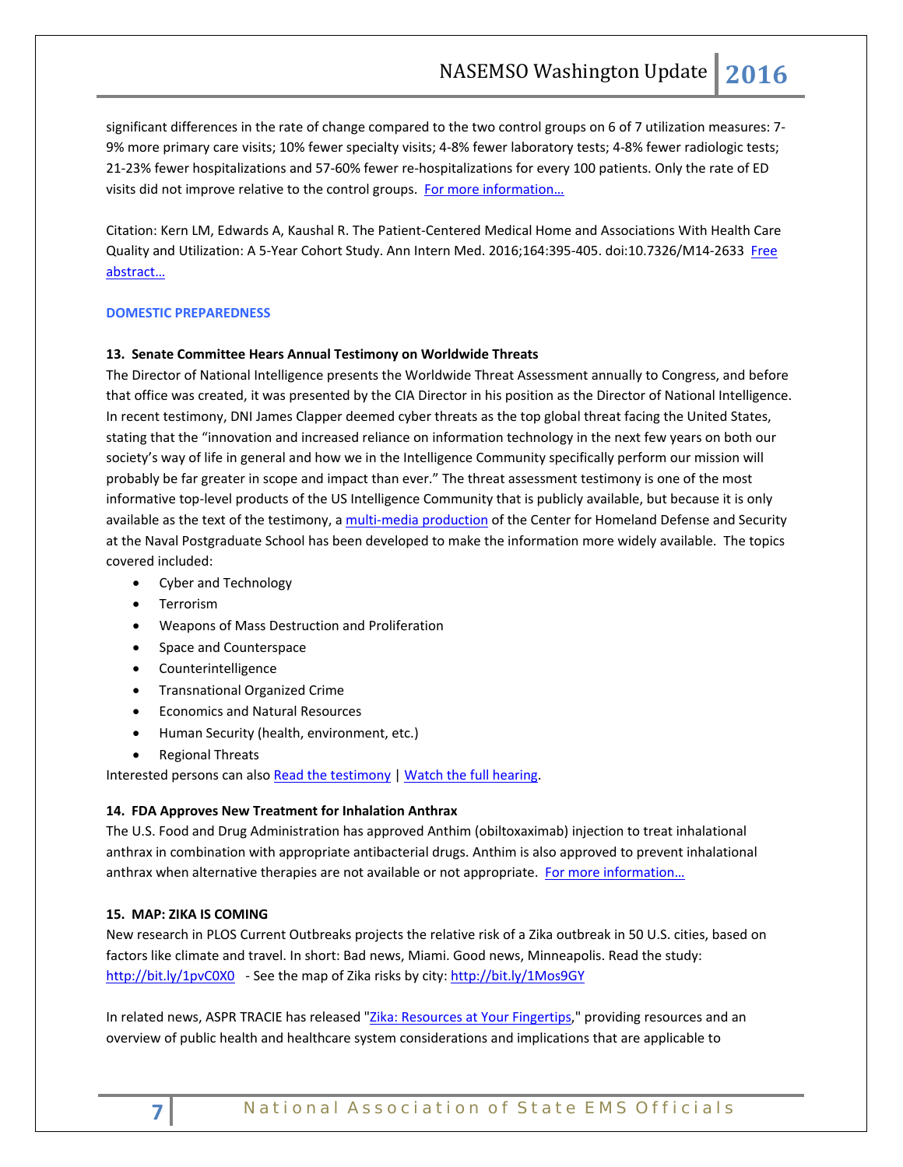significant differences in the rate of change compared to the two control groups on 6 of 7 utilization measures: 7- 9% more primary care visits; 10% fewer specialty visits; 4-8% fewer laboratory tests; 4-8% fewer radiologic tests; 21-23% fewer hospitalizations and 57-60% fewer re-hospitalizations for every 100 patients. Only the rate of ED visits did not improve relative to the control groups. [For more information…](http://blog.ncqa.org/does-pcmh-work/)

Citation: Kern LM, Edwards A, Kaushal R. The Patient-Centered Medical Home and Associations With Health Care Quality and Utilization: A 5-Year Cohort Study. Ann Intern Med. 2016;164:395-405. doi:10.7326/M14-2633 [Free](http://annals.org/article.aspx?articleid=2491915) [abstract…](http://annals.org/article.aspx?articleid=2491915)

## **DOMESTIC PREPAREDNESS**

## **13. Senate Committee Hears Annual Testimony on Worldwide Threats**

The Director of National Intelligence presents the Worldwide Threat Assessment annually to Congress, and before that office was created, it was presented by the CIA Director in his position as the Director of National Intelligence. In recent testimony, DNI James Clapper deemed cyber threats as the top global threat facing the United States, stating that the "innovation and increased reliance on information technology in the next few years on both our society's way of life in general and how we in the Intelligence Community specifically perform our mission will probably be far greater in scope and impact than ever." The threat assessment testimony is one of the most informative top-level products of the US Intelligence Community that is publicly available, but because it is only available as the text of the testimony, [a multi-media production](https://www.chds.us/coursefiles/NS4156/WWTA_digital_publication/WWTA_2016/story.html) of the Center for Homeland Defense and Security at the Naval Postgraduate School has been developed to make the information more widely available. The topics covered included:

- Cyber and Technology
- Terrorism
- Weapons of Mass Destruction and Proliferation
- Space and Counterspace
- Counterintelligence
- Transnational Organized Crime
- Economics and Natural Resources
- Human Security (health, environment, etc.)
- Regional Threats

Interested persons can also [Read the testimony](http://www.dni.gov/files/documents/SSCI_Unclassified_2016_ATA_SFR%20_FINAL.pdf) [| Watch the full hearing.](http://www.intelligence.senate.gov/hearings/videos)

## **14. FDA Approves New Treatment for Inhalation Anthrax**

The U.S. Food and Drug Administration has approved Anthim (obiltoxaximab) injection to treat inhalational anthrax in combination with appropriate antibacterial drugs. Anthim is also approved to prevent inhalational anthrax when alternative therapies are not available or not appropriate. For more information...

## **15. MAP: ZIKA IS COMING**

New research in PLOS Current Outbreaks projects the relative risk of a Zika outbreak in 50 U.S. cities, based on factors like climate and travel. In short: Bad news, Miami. Good news, Minneapolis. Read the study: [http://bit.ly/1pvC0X0](http://go.politicoemail.com/?qs=722e36d9a46a1a06e1a373859290d3f6dea638e83bec12b59274b55aba312a21) - See the map of Zika risks by city: [http://bit.ly/1Mos9GY](http://go.politicoemail.com/?qs=722e36d9a46a1a068dabd5aa8dc1270ae554885dea152c77b029a15af0092642)

In related news, ASPR TRACIE has released ["Zika: Resources at Your Fingertips,](https://asprtracie.hhs.gov/documents/ASPR-TRACIE-Zika-Virus-Disease-Resources-At-Your-Fingertips.pdf)" providing resources and an overview of public health and healthcare system considerations and implications that are applicable to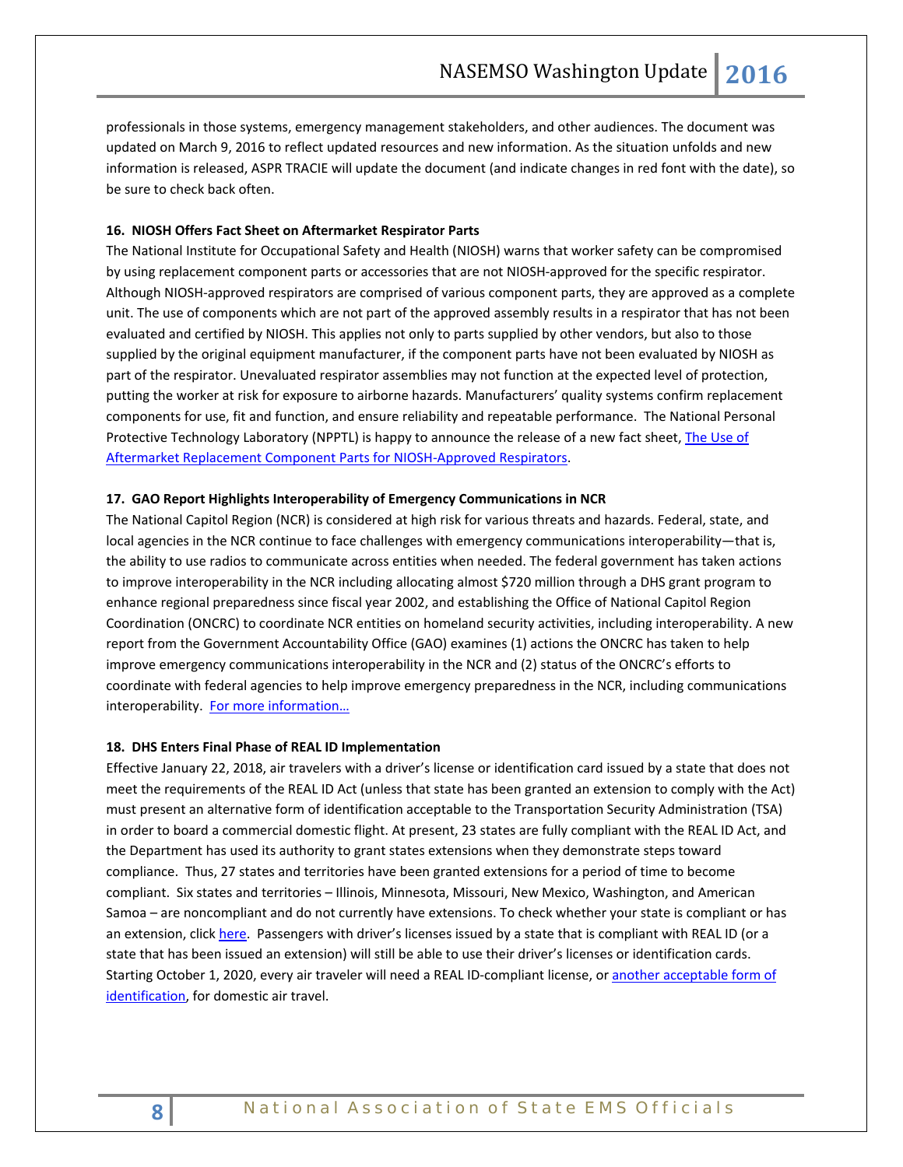professionals in those systems, emergency management stakeholders, and other audiences. The document was updated on March 9, 2016 to reflect updated resources and new information. As the situation unfolds and new information is released, ASPR TRACIE will update the document (and indicate changes in red font with the date), so be sure to check back often.

## **16. NIOSH Offers Fact Sheet on Aftermarket Respirator Parts**

The National Institute for Occupational Safety and Health (NIOSH) warns that worker safety can be compromised by using replacement component parts or accessories that are not NIOSH-approved for the specific respirator. Although NIOSH-approved respirators are comprised of various component parts, they are approved as a complete unit. The use of components which are not part of the approved assembly results in a respirator that has not been evaluated and certified by NIOSH. This applies not only to parts supplied by other vendors, but also to those supplied by the original equipment manufacturer, if the component parts have not been evaluated by NIOSH as part of the respirator. Unevaluated respirator assemblies may not function at the expected level of protection, putting the worker at risk for exposure to airborne hazards. Manufacturers' quality systems confirm replacement components for use, fit and function, and ensure reliability and repeatable performance. The National Personal Protective Technology Laboratory (NPPTL) is happy to announce the release of a new fact sheet, The Use of [Aftermarket Replacement Component Parts for NIOSH-Approved Respirators.](http://www.cdc.gov/niosh/docs/2016-107/pdfs/2016-107.pdf)

## **17. GAO Report Highlights Interoperability of Emergency Communications in NCR**

The National Capitol Region (NCR) is considered at high risk for various threats and hazards. Federal, state, and local agencies in the NCR continue to face challenges with emergency communications interoperability—that is, the ability to use radios to communicate across entities when needed. The federal government has taken actions to improve interoperability in the NCR including allocating almost \$720 million through a DHS grant program to enhance regional preparedness since fiscal year 2002, and establishing the Office of National Capitol Region Coordination (ONCRC) to coordinate NCR entities on homeland security activities, including interoperability. A new report from the Government Accountability Office (GAO) examines (1) actions the ONCRC has taken to help improve emergency communications interoperability in the NCR and (2) status of the ONCRC's efforts to coordinate with federal agencies to help improve emergency preparedness in the NCR, including communications interoperability. For more information...

## **18. DHS Enters Final Phase of REAL ID Implementation**

<span id="page-7-0"></span>Effective January 22, 2018, air travelers with a driver's license or identification card issued by a state that does not meet the requirements of the REAL ID Act (unless that state has been granted an extension to comply with the Act) must present an alternative form of identification acceptable to the Transportation Security Administration (TSA) in order to board a commercial domestic flight. At present, 23 states are fully compliant with the REAL ID Act, and the Department has used its authority to grant states extensions when they demonstrate steps toward compliance. Thus, 27 states and territories have been granted extensions for a period of time to become compliant. Six states and territories – Illinois, Minnesota, Missouri, New Mexico, Washington, and American Samoa – are noncompliant and do not currently have extensions. To check whether your state is compliant or has an extension, clic[k here.](https://www.dhs.gov/real-id-enforcement-brief) Passengers with driver's licenses issued by a state that is compliant with REAL ID (or a state that has been issued an extension) will still be able to use their driver's licenses or identification cards. Starting October 1, 2020, every air traveler will need a REAL ID-compliant license, or [another acceptable form of](https://www.tsa.gov/travel/security-screening/identification)  [identification,](https://www.tsa.gov/travel/security-screening/identification) for domestic air travel.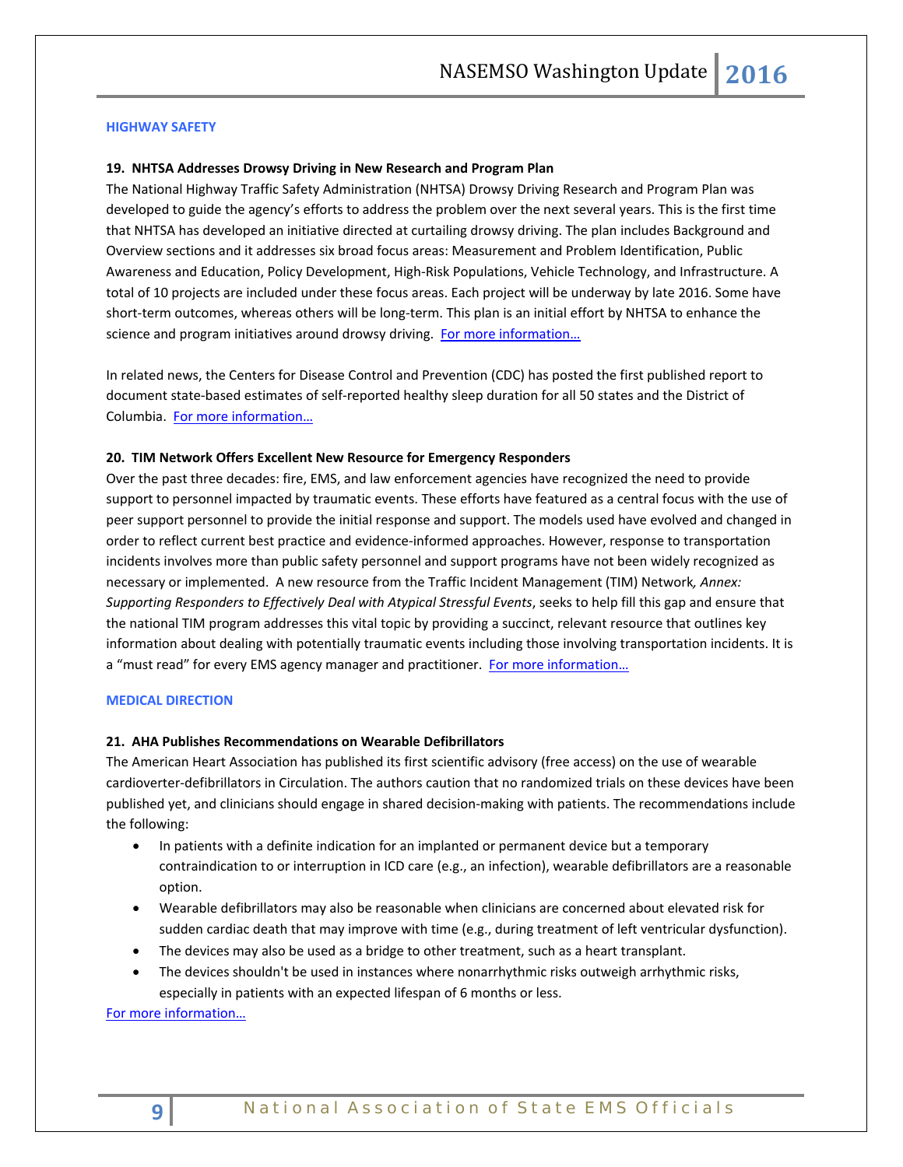### **HIGHWAY SAFETY**

#### **19. NHTSA Addresses Drowsy Driving in New Research and Program Plan**

The National Highway Traffic Safety Administration (NHTSA) Drowsy Driving Research and Program Plan was developed to guide the agency's efforts to address the problem over the next several years. This is the first time that NHTSA has developed an initiative directed at curtailing drowsy driving. The plan includes Background and Overview sections and it addresses six broad focus areas: Measurement and Problem Identification, Public Awareness and Education, Policy Development, High-Risk Populations, Vehicle Technology, and Infrastructure. A total of 10 projects are included under these focus areas. Each project will be underway by late 2016. Some have short-term outcomes, whereas others will be long-term. This plan is an initial effort by NHTSA to enhance the science and program initiatives around drowsy driving. [For more information…](http://www.nhtsa.gov/staticfiles/nti/pdf/DrowsyDriving_StrategicPlan_030316.pdf)

In related news, the Centers for Disease Control and Prevention (CDC) has posted the first published report to document state-based estimates of self-reported healthy sleep duration for all 50 states and the District of Columbia. [For more information…](http://www.cdc.gov/mmwr/volumes/65/wr/mm6506a1.htm?s_cid=mm6506a1_e)

#### **20. TIM Network Offers Excellent New Resource for Emergency Responders**

Over the past three decades: fire, EMS, and law enforcement agencies have recognized the need to provide support to personnel impacted by traumatic events. These efforts have featured as a central focus with the use of peer support personnel to provide the initial response and support. The models used have evolved and changed in order to reflect current best practice and evidence-informed approaches. However, response to transportation incidents involves more than public safety personnel and support programs have not been widely recognized as necessary or implemented. A new resource from the Traffic Incident Management (TIM) Network*, Annex: Supporting Responders to Effectively Deal with Atypical Stressful Events*, seeks to help fill this gap and ensure that the national TIM program addresses this vital topic by providing a succinct, relevant resource that outlines key information about dealing with potentially traumatic events including those involving transportation incidents. It is a "must read" for every EMS agency manager and practitioner. For more information...

#### <span id="page-8-0"></span>**MEDICAL DIRECTION**

## **21. AHA Publishes Recommendations on Wearable Defibrillators**

The American Heart Association has published its first scientific advisory (free access) on the use of wearable cardioverter-defibrillators in Circulation. The authors caution that no randomized trials on these devices have been published yet, and clinicians should engage in shared decision-making with patients. The recommendations include the following:

- In patients with a definite indication for an implanted or permanent device but a temporary contraindication to or interruption in ICD care (e.g., an infection), wearable defibrillators are a reasonable option.
- Wearable defibrillators may also be reasonable when clinicians are concerned about elevated risk for sudden cardiac death that may improve with time (e.g., during treatment of left ventricular dysfunction).
- The devices may also be used as a bridge to other treatment, such as a heart transplant.
- The devices shouldn't be used in instances where nonarrhythmic risks outweigh arrhythmic risks, especially in patients with an expected lifespan of 6 months or less.

[For more information…](http://circ.ahajournals.org/content/early/2016/03/28/CIR.0000000000000394.full.pdf+html)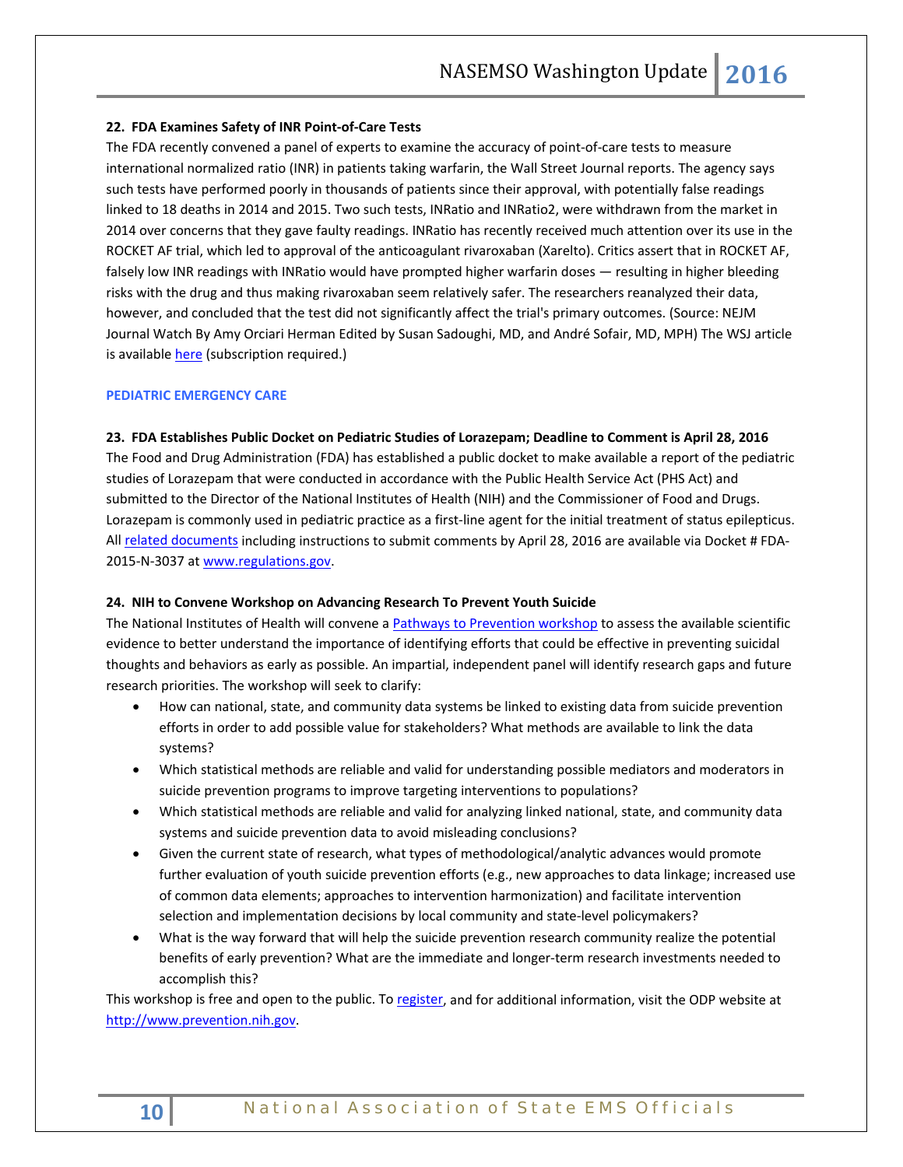## **22. FDA Examines Safety of INR Point-of-Care Tests**

The FDA recently convened a panel of experts to examine the accuracy of point-of-care tests to measure international normalized ratio (INR) in patients taking warfarin, the Wall Street Journal reports. The agency says such tests have performed poorly in thousands of patients since their approval, with potentially false readings linked to 18 deaths in 2014 and 2015. Two such tests, INRatio and INRatio2, were withdrawn from the market in 2014 over concerns that they gave faulty readings. INRatio has recently received much attention over its use in the ROCKET AF trial, which led to approval of the anticoagulant rivaroxaban (Xarelto). Critics assert that in ROCKET AF, falsely low INR readings with INRatio would have prompted higher warfarin doses — resulting in higher bleeding risks with the drug and thus making rivaroxaban seem relatively safer. The researchers reanalyzed their data, however, and concluded that the test did not significantly affect the trial's primary outcomes. (Source: NEJM Journal Watch By Amy Orciari Herman Edited by [Susan Sadoughi, MD,](http://www.jwatch.org/editors/U1606) an[d André Sofair, MD, MPH\)](http://www.jwatch.org/editors/U1605) The WSJ article is availabl[e here](http://www.wsj.com/articles/fda-weighs-danger-tied-to-blood-monitoring-devices-1458335942) (subscription required.)

## **PEDIATRIC EMERGENCY CARE**

## **23. FDA Establishes Public Docket on Pediatric Studies of Lorazepam; Deadline to Comment is April 28, 2016**

The Food and Drug Administration (FDA) has established a public docket to make available a report of the pediatric studies of Lorazepam that were conducted in accordance with the Public Health Service Act (PHS Act) and submitted to the Director of the National Institutes of Health (NIH) and the Commissioner of Food and Drugs. Lorazepam is commonly used in pediatric practice as a first-line agent for the initial treatment of status epilepticus. Al[l related documents](https://www.regulations.gov/#!docketBrowser;rpp=25;po=0;D=FDA-2015-N-3037) including instructions to submit comments by April 28, 2016 are available via Docket # FDA-2015-N-3037 at [www.regulations.gov.](http://www.regulations.gov/) 

#### **24. NIH to Convene Workshop on Advancing Research To Prevent Youth Suicide**

The National Institutes of Health will convene [a Pathways to Prevention workshop](https://prevention.nih.gov/programs-events/pathways-to-prevention/workshops/suicide-prevention) to assess the available scientific evidence to better understand the importance of identifying efforts that could be effective in preventing suicidal thoughts and behaviors as early as possible. An impartial, independent panel will identify research gaps and future research priorities. The workshop will seek to clarify:

- How can national, state, and community data systems be linked to existing data from suicide prevention efforts in order to add possible value for stakeholders? What methods are available to link the data systems?
- Which statistical methods are reliable and valid for understanding possible mediators and moderators in suicide prevention programs to improve targeting interventions to populations?
- Which statistical methods are reliable and valid for analyzing linked national, state, and community data systems and suicide prevention data to avoid misleading conclusions?
- Given the current state of research, what types of methodological/analytic advances would promote further evaluation of youth suicide prevention efforts (e.g., new approaches to data linkage; increased use of common data elements; approaches to intervention harmonization) and facilitate intervention selection and implementation decisions by local community and state-level policymakers?
- What is the way forward that will help the suicide prevention research community realize the potential benefits of early prevention? What are the immediate and longer-term research investments needed to accomplish this?

This workshop is free and open to the public. T[o register,](https://prevention.nih.gov/programs-events/pathways-to-prevention/workshops/suicide-prevention/registration) and for additional information, visit the ODP website at [http://www.prevention.nih.gov.](http://www.prevention.nih.gov/)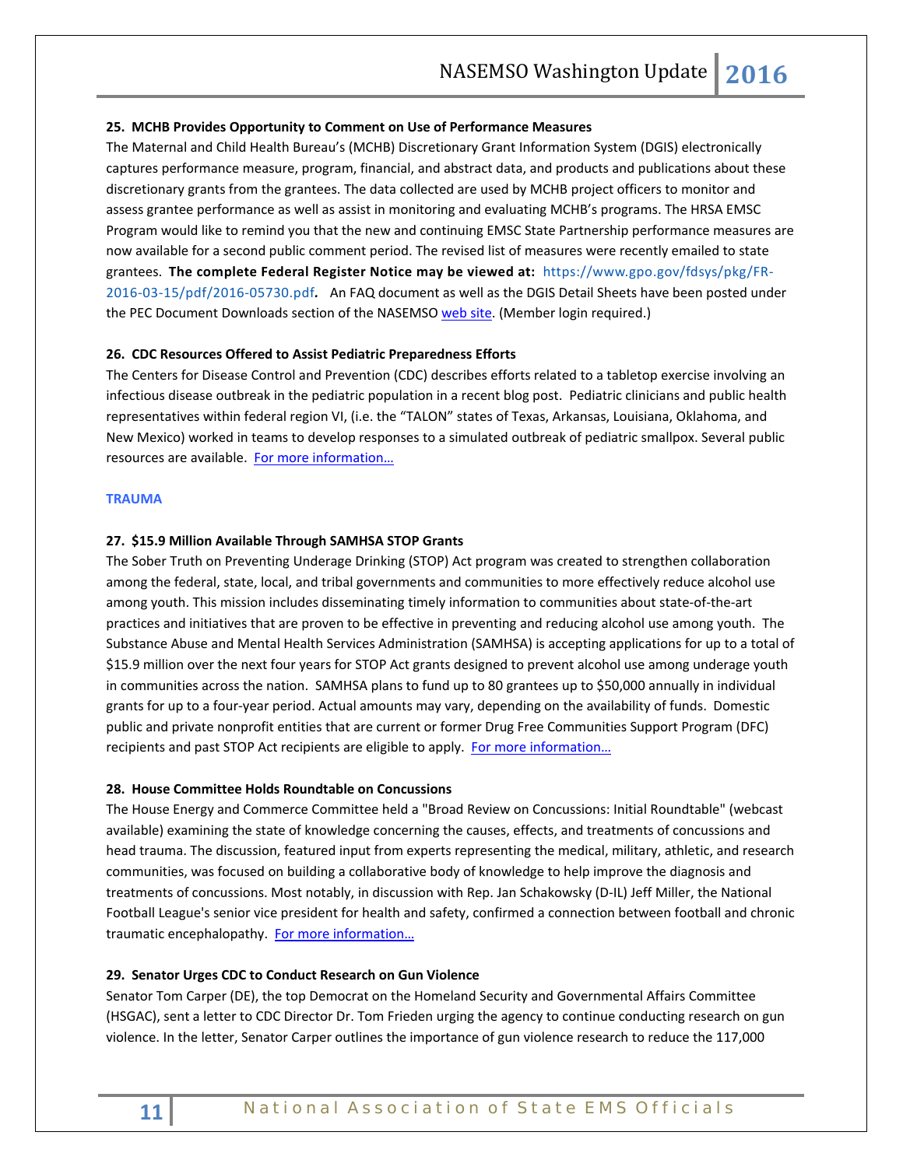## **25. MCHB Provides Opportunity to Comment on Use of Performance Measures**

The Maternal and Child Health Bureau's (MCHB) Discretionary Grant Information System (DGIS) electronically captures performance measure, program, financial, and abstract data, and products and publications about these discretionary grants from the grantees. The data collected are used by MCHB project officers to monitor and assess grantee performance as well as assist in monitoring and evaluating MCHB's programs. The HRSA EMSC Program would like to remind you that the new and continuing EMSC State Partnership performance measures are now available for a second public comment period. The revised list of measures were recently emailed to state grantees. **The complete Federal Register Notice may be viewed at:** [https://www.gpo.gov/fdsys/pkg/FR-](https://www.gpo.gov/fdsys/pkg/FR-2016-03-15/pdf/2016-05730.pdf)[2016-03-15/pdf/2016-05730.pdf](https://www.gpo.gov/fdsys/pkg/FR-2016-03-15/pdf/2016-05730.pdf)*.* An FAQ document as well as the DGIS Detail Sheets have been posted under the PEC Document Downloads section of the NASEMS[O web site.](https://www.nasemso.org/Members/Download_Documents/CouncilDocuments/Council3/PEC.asp) (Member login required.)

## **26. CDC Resources Offered to Assist Pediatric Preparedness Efforts**

The Centers for Disease Control and Prevention (CDC) describes efforts related to a tabletop exercise involving an infectious disease outbreak in the pediatric population in a recent blog post. Pediatric clinicians and public health representatives within federal region VI, (i.e. the "TALON" states of Texas, Arkansas, Louisiana, Oklahoma, and New Mexico) worked in teams to develop responses to a simulated outbreak of pediatric smallpox. Several public resources are available. [For more information…](http://blogs.cdc.gov/publichealthmatters/2016/03/preparedness-and-pediatrics/)

### <span id="page-10-0"></span>**TRAUMA**

## **27. \$15.9 Million Available Through SAMHSA STOP Grants**

The Sober Truth on Preventing Underage Drinking (STOP) Act program was created to strengthen collaboration among the federal, state, local, and tribal governments and communities to more effectively reduce alcohol use among youth. This mission includes disseminating timely information to communities about state-of-the-art practices and initiatives that are proven to be effective in preventing and reducing alcohol use among youth. The Substance Abuse and Mental Health Services Administration (SAMHSA) is accepting applications for up to a total of \$15.9 million over the next four years for STOP Act grants designed to prevent alcohol use among underage youth in communities across the nation. SAMHSA plans to fund up to 80 grantees up to \$50,000 annually in individual grants for up to a four-year period. Actual amounts may vary, depending on the availability of funds. Domestic public and private nonprofit entities that are current or former Drug Free Communities Support Program (DFC) recipients and past STOP Act recipients are eligible to apply. [For more information…](http://www.samhsa.gov/newsroom/press-announcements/201603171200)

## **28. House Committee Holds Roundtable on Concussions**

The House Energy and Commerce Committee held a "Broad Review on Concussions: Initial Roundtable" (webcast available) examining the state of knowledge concerning the causes, effects, and treatments of concussions and head trauma. The discussion, featured input from experts representing the medical, military, athletic, and research communities, was focused on building a collaborative body of knowledge to help improve the diagnosis and treatments of concussions. Most notably, in discussion with Rep. Jan Schakowsky (D-IL) Jeff Miller, the National Football League's senior vice president for health and safety, confirmed a connection between football and chronic traumatic encephalopathy. [For more information…](https://energycommerce.house.gov/hearings-and-votes/event/broad-review-concussions-initial-roundtable)

## **29. Senator Urges CDC to Conduct Research on Gun Violence**

Senator Tom Carper (DE), the top Democrat on the Homeland Security and Governmental Affairs Committee (HSGAC), sent a [letter](http://www.mmsend47.com/link.cfm?r=235034241&sid=92485864&m=12399370&u=NACCHO&j=32839853&s=http://www.carper.senate.gov/public/index.cfm/pressreleases?ID=FF13D66A-4F8A-4B14-87F6-60F63A9D848D) to CDC Director Dr. Tom Frieden urging the agency to continue conducting research on gun violence. In the letter, Senator Carper outlines the importance of gun violence research to reduce the 117,000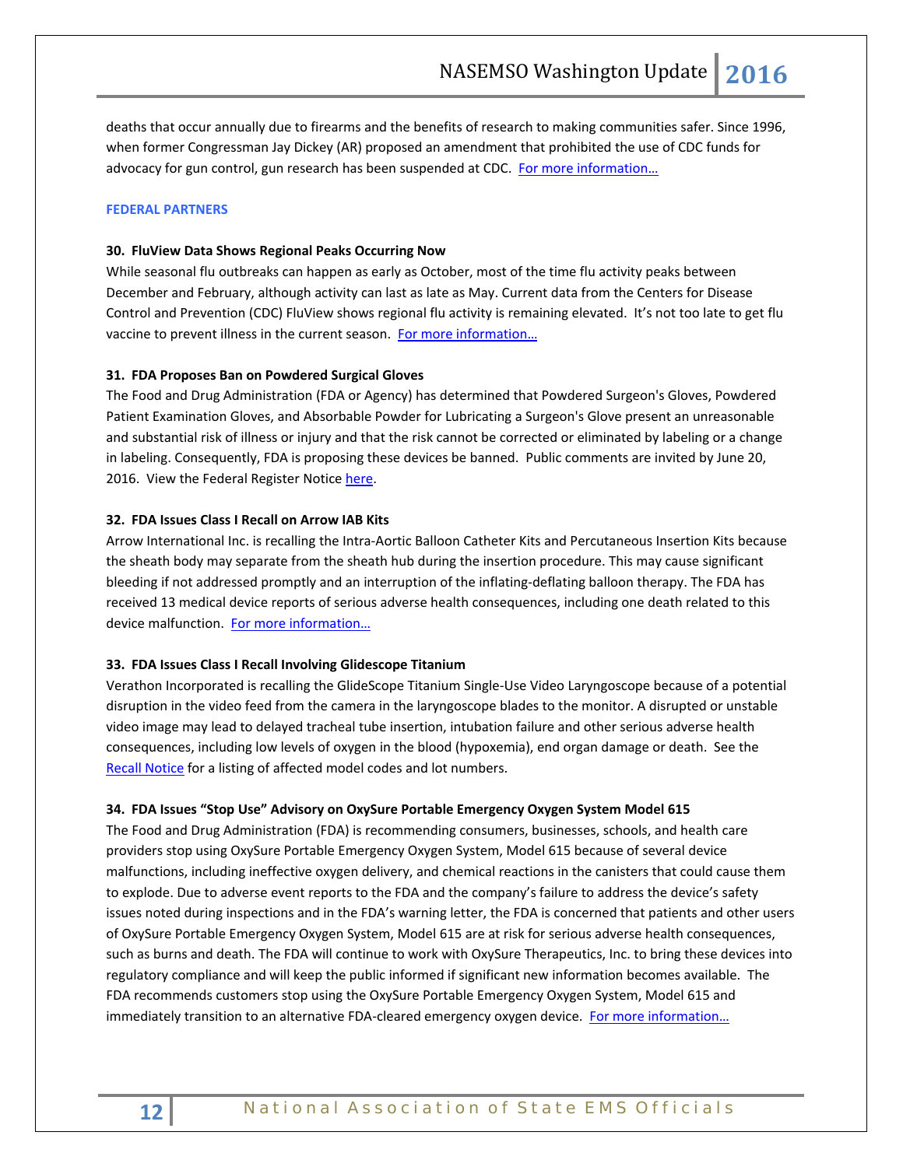<span id="page-11-0"></span>deaths that occur annually due to firearms and the benefits of research to making communities safer. Since 1996, when former Congressman Jay Dickey (AR) proposed an amendment that prohibited the use of CDC funds for advocacy for gun control, gun research has been suspended at CDC. For more information...

## **FEDERAL PARTNERS**

## **30. FluView Data Shows Regional Peaks Occurring Now**

While seasonal flu outbreaks can happen as early as October, most of the time flu activity peaks between December and February, although activity can last as late as May. Current data from the Centers for Disease Control and Prevention (CDC) FluView shows regional flu activity is remaining elevated. It's not too late to get flu vaccine to prevent illness in the current season. [For more information…](http://www.cdc.gov/flu/about/season/flu-season-2015-2016.htm)

## **31. FDA Proposes Ban on Powdered Surgical Gloves**

The Food and Drug Administration (FDA or Agency) has determined that Powdered Surgeon's Gloves, Powdered Patient Examination Gloves, and Absorbable Powder for Lubricating a Surgeon's Glove present an unreasonable and substantial risk of illness or injury and that the risk cannot be corrected or eliminated by labeling or a change in labeling. Consequently, FDA is proposing these devices be banned. Public comments are invited by June 20, 2016. View the Federal Register Notic[e here.](https://www.gpo.gov/fdsys/pkg/FR-2016-03-22/pdf/2016-06360.pdf)

## **32. FDA Issues Class I Recall on Arrow IAB Kits**

Arrow International Inc. is recalling the Intra-Aortic Balloon Catheter Kits and Percutaneous Insertion Kits because the sheath body may separate from the sheath hub during the insertion procedure. This may cause significant bleeding if not addressed promptly and an interruption of the inflating-deflating balloon therapy. The FDA has received 13 medical device reports of serious adverse health consequences, including one death related to this device malfunction. [For more information…](http://www.fda.gov/MedicalDevices/Safety/ListofRecalls/ucm491270.htm)

## **33. FDA Issues Class I Recall Involving Glidescope Titanium**

Verathon Incorporated is recalling the GlideScope Titanium Single-Use Video Laryngoscope because of a potential disruption in the video feed from the camera in the laryngoscope blades to the monitor. A disrupted or unstable video image may lead to delayed tracheal tube insertion, intubation failure and other serious adverse health consequences, including low levels of oxygen in the blood (hypoxemia), end organ damage or death. See the [Recall Notice](http://www.fda.gov/MedicalDevices/Safety/ListofRecalls/ucm491325.htm) for a listing of affected model codes and lot numbers.

## **34. FDA Issues "Stop Use" Advisory on OxySure Portable Emergency Oxygen System Model 615**

The Food and Drug Administration (FDA) is recommending consumers, businesses, schools, and health care providers stop using OxySure Portable Emergency Oxygen System, Model 615 because of several device malfunctions, including ineffective oxygen delivery, and chemical reactions in the canisters that could cause them to explode. Due to adverse event reports to the FDA and the company's failure to address the device's safety issues noted during inspections and in the FDA's warning letter, the FDA is concerned that patients and other users of OxySure Portable Emergency Oxygen System, Model 615 are at risk for serious adverse health consequences, such as burns and death. The FDA will continue to work with OxySure Therapeutics, Inc. to bring these devices into regulatory compliance and will keep the public informed if significant new information becomes available. The FDA recommends customers stop using the OxySure Portable Emergency Oxygen System, Model 615 and immediately transition to an alternative FDA-cleared emergency oxygen device. For more information...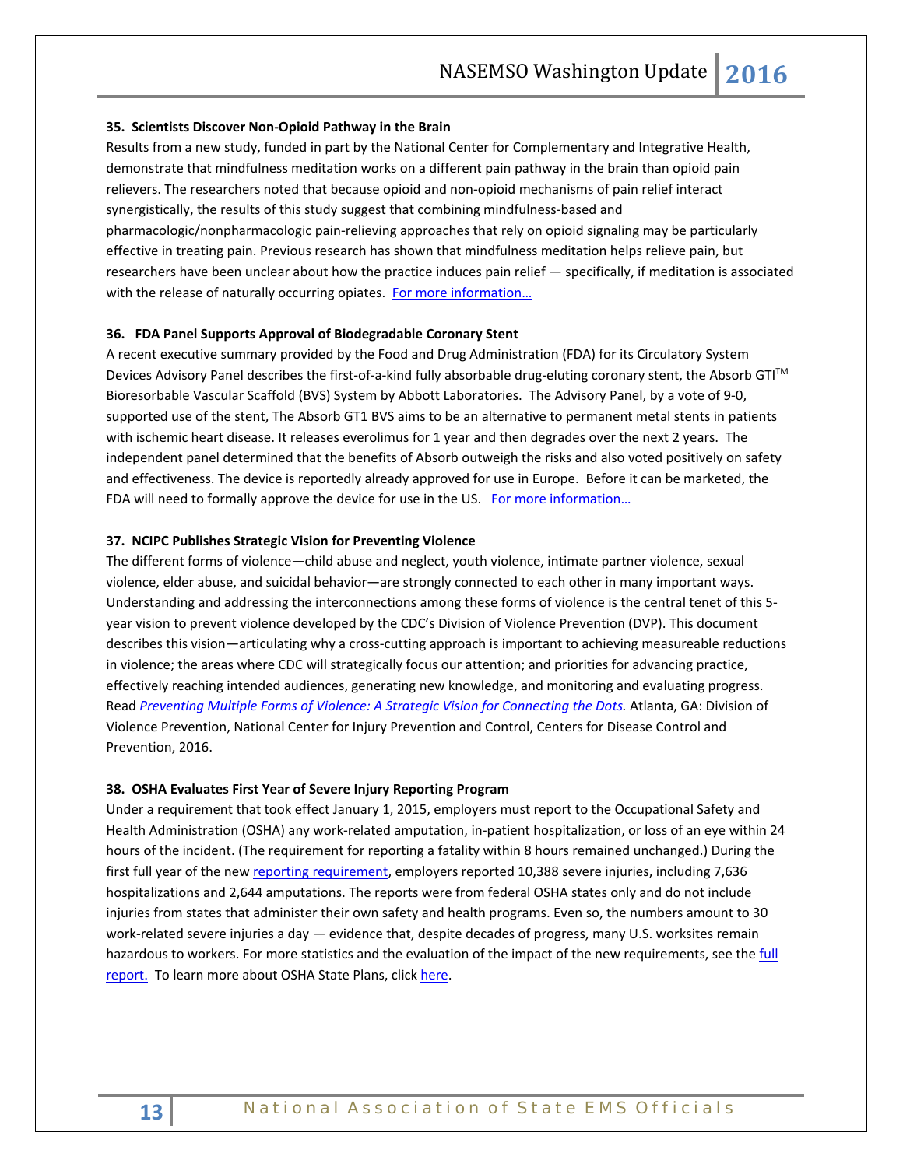## **35. Scientists Discover Non-Opioid Pathway in the Brain**

Results from a new study, funded in part by the National Center for Complementary and Integrative Health, demonstrate that mindfulness meditation works on a different pain pathway in the brain than opioid pain relievers. The researchers noted that because opioid and non-opioid mechanisms of pain relief interact synergistically, the results of this study suggest that combining mindfulness-based and pharmacologic/nonpharmacologic pain-relieving approaches that rely on opioid signaling may be particularly effective in treating pain. Previous research has shown that mindfulness meditation helps relieve pain, but researchers have been unclear about how the practice induces pain relief — specifically, if meditation is associated with the release of naturally occurring opiates. For more information...

## **36. FDA Panel Supports Approval of Biodegradable Coronary Stent**

A recent executive summary provided by the Food and Drug Administration (FDA) for its Circulatory System Devices Advisory Panel describes the first-of-a-kind fully absorbable drug-eluting coronary stent, the Absorb GTI™ Bioresorbable Vascular Scaffold (BVS) System by Abbott Laboratories. The Advisory Panel, by a vote of 9-0, supported use of the stent, The Absorb GT1 BVS aims to be an alternative to permanent metal stents in patients with ischemic heart disease. It releases everolimus for 1 year and then degrades over the next 2 years. The independent panel determined that the benefits of Absorb outweigh the risks and also voted positively on safety and effectiveness. The device is reportedly already approved for use in Europe. Before it can be marketed, the FDA will need to formally approve the device for use in the US. For more information...

## **37. NCIPC Publishes Strategic Vision for Preventing Violence**

The different forms of violence—child abuse and neglect, youth violence, intimate partner violence, sexual violence, elder abuse, and suicidal behavior—are strongly connected to each other in many important ways. Understanding and addressing the interconnections among these forms of violence is the central tenet of this 5 year vision to prevent violence developed by the CDC's Division of Violence Prevention (DVP). This document describes this vision—articulating why a cross-cutting approach is important to achieving measureable reductions in violence; the areas where CDC will strategically focus our attention; and priorities for advancing practice, effectively reaching intended audiences, generating new knowledge, and monitoring and evaluating progress. Read *[Preventing Multiple Forms of Violence: A Strategic Vision for Connecting the Dots.](http://www.cdc.gov/violenceprevention/pdf/strategic_vision.pdf)* Atlanta, GA: Division of Violence Prevention, National Center for Injury Prevention and Control, Centers for Disease Control and Prevention, 2016.

#### **38. OSHA Evaluates First Year of Severe Injury Reporting Program**

Under a requirement that took effect January 1, 2015, employers must report to the Occupational Safety and Health Administration (OSHA) any work-related amputation, in-patient hospitalization, or loss of an eye within 24 hours of the incident. (The requirement for reporting a fatality within 8 hours remained unchanged.) During the first full year of the ne[w reporting requirement,](https://www.osha.gov/report.html) employers reported 10,388 severe injuries, including 7,636 hospitalizations and 2,644 amputations. The reports were from federal OSHA states only and do not include injuries from states that administer their own safety and health programs. Even so, the numbers amount to 30 work-related severe injuries a day — evidence that, despite decades of progress, many U.S. worksites remain hazardous to workers. For more statistics and the evaluation of the impact of the new requirements, see the full [report.](https://www.osha.gov/injuryreport/2015.pdf) To learn more about OSHA State Plans, clic[k here.](https://www.osha.gov/dcsp/osp/index.html)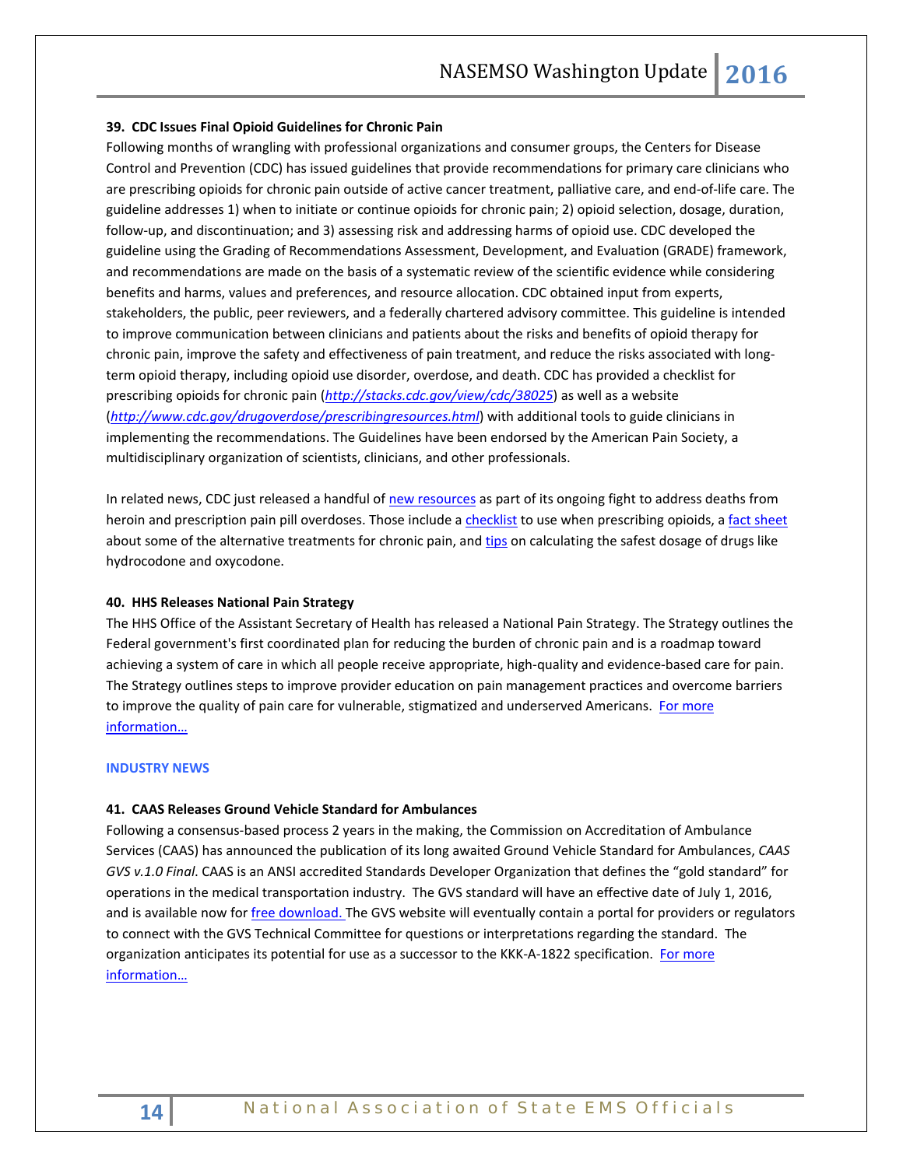## **39. CDC Issues Final Opioid Guidelines for Chronic Pain**

Following months of wrangling with professional organizations and consumer groups, the Centers for Disease Control and Prevention (CDC) has issued guidelines that provide recommendations for primary care clinicians who are prescribing opioids for chronic pain outside of active cancer treatment, palliative care, and end-of-life care. The guideline addresses 1) when to initiate or continue opioids for chronic pain; 2) opioid selection, dosage, duration, follow-up, and discontinuation; and 3) assessing risk and addressing harms of opioid use. CDC developed the guideline using the Grading of Recommendations Assessment, Development, and Evaluation (GRADE) framework, and recommendations are made on the basis of a systematic review of the scientific evidence while considering benefits and harms, values and preferences, and resource allocation. CDC obtained input from experts, stakeholders, the public, peer reviewers, and a federally chartered advisory committee. This guideline is intended to improve communication between clinicians and patients about the risks and benefits of opioid therapy for chronic pain, improve the safety and effectiveness of pain treatment, and reduce the risks associated with longterm opioid therapy, including opioid use disorder, overdose, and death. CDC has provided a checklist for prescribing opioids for chronic pain (*<http://stacks.cdc.gov/view/cdc/38025>*) as well as a website (*[http://www.cdc.gov/drugoverdose/prescribingresources.html](http://www.cdc.gov/drugoverdose/prescribing/resources.html)*) with additional tools to guide clinicians in implementing the recommendations. The Guidelines have been endorsed by the American Pain Society, a multidisciplinary organization of scientists, clinicians, and other professionals.

In related news, CDC just released a handful o[f new resources](http://www.cdc.gov/drugoverdose/prescribing/resources.html) as part of its ongoing fight to address deaths from heroin and prescription pain pill overdoses. Those include [a checklist](http://www.cdc.gov/drugoverdose/pdf/pdo_checklist-a.pdf) to use when prescribing opioids, a [fact sheet](http://www.cdc.gov/drugoverdose/pdf/alternative_treatments-a.pdf) about some of the alternative treatments for chronic pain, an[d tips](http://www.cdc.gov/drugoverdose/pdf/calculating_total_daily_dose-a.pdf) on calculating the safest dosage of drugs like hydrocodone and oxycodone.

## **40. HHS Releases National Pain Strategy**

The HHS Office of the Assistant Secretary of Health has released a National Pain Strategy. The Strategy outlines the Federal government's first coordinated plan for reducing the burden of chronic pain and is a roadmap toward achieving a system of care in which all people receive appropriate, high-quality and evidence-based care for pain. The Strategy outlines steps to improve provider education on pain management practices and overcome barriers to improve the quality of pain care for vulnerable, stigmatized and underserved Americans. For more [information…](http://iprcc.nih.gov/National_Pain_Strategy/NPS_Main.htm)

#### <span id="page-13-0"></span>**INDUSTRY NEWS**

## **41. CAAS Releases Ground Vehicle Standard for Ambulances**

Following a consensus-based process 2 years in the making, the Commission on Accreditation of Ambulance Services (CAAS) has announced the publication of its long awaited Ground Vehicle Standard for Ambulances, *CAAS GVS v.1.0 Final*. CAAS is an ANSI accredited Standards Developer Organization that defines the "gold standard" for operations in the medical transportation industry. The GVS standard will have an effective date of July 1, 2016, and is available now fo[r free download. T](http://www.groundvehiclestandard.org/wp-content/uploads/2016/03/CAAS-GVS-v.1.0-Final-3-28-16.pdf)he GVS website will eventually contain a portal for providers or regulators to connect with the GVS Technical Committee for questions or interpretations regarding the standard. The organization anticipates its potential for use as a successor to the KKK-A-1822 specification. For more [information…](http://www.groundvehiclestandard.org/)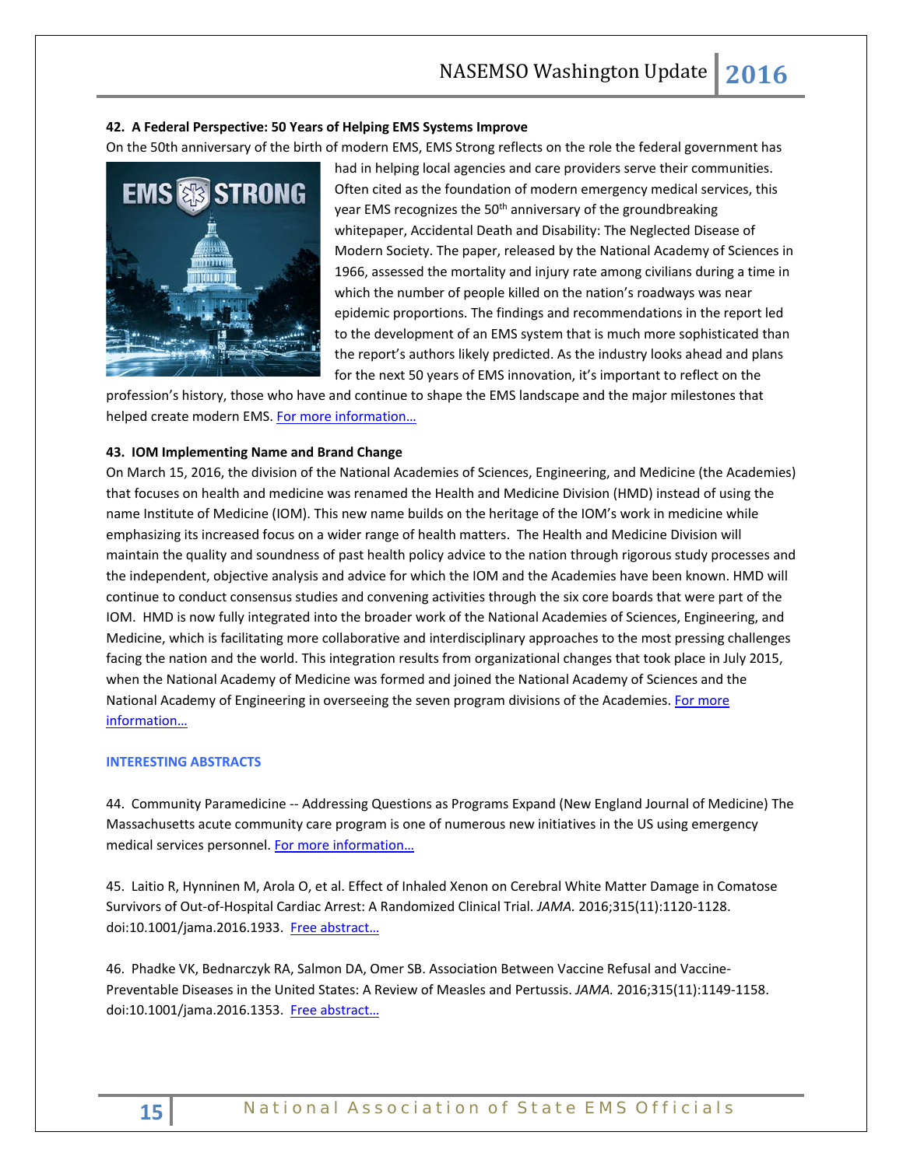## **42. A Federal Perspective: 50 Years of Helping EMS Systems Improve**

On the 50th anniversary of the birth of modern EMS, EMS Strong reflects on the role the federal government has



had in helping local agencies and care providers serve their communities. Often cited as the foundation of modern emergency medical services, this year EMS recognizes the 50<sup>th</sup> anniversary of the groundbreaking whitepaper, Accidental Death and Disability: The Neglected Disease of Modern Society. The paper, released by the National Academy of Sciences in 1966, assessed the mortality and injury rate among civilians during a time in which the number of people killed on the nation's roadways was near epidemic proportions. The findings and recommendations in the report led to the development of an EMS system that is much more sophisticated than the report's authors likely predicted. As the industry looks ahead and plans for the next 50 years of EMS innovation, it's important to reflect on the

profession's history, those who have and continue to shape the EMS landscape and the major milestones that helped create modern EMS. For more information...

## **43. IOM Implementing Name and Brand Change**

On March 15, 2016, the division of the National Academies of Sciences, Engineering, and Medicine (the Academies) that focuses on health and medicine was renamed the Health and Medicine Division (HMD) instead of using the name Institute of Medicine (IOM). This new name builds on the heritage of the IOM's work in medicine while emphasizing its increased focus on a wider range of health matters. The Health and Medicine Division will maintain the quality and soundness of past health policy advice to the nation through rigorous study processes and the independent, objective analysis and advice for which the IOM and the Academies have been known. HMD will continue to conduct consensus studies and convening activities through the six core boards that were part of the IOM. HMD is now fully integrated into the broader work of the National Academies of Sciences, Engineering, and Medicine, which is facilitating more collaborative and interdisciplinary approaches to the most pressing challenges facing the nation and the world. This integration results from organizational changes that took place in July 2015, when the National Academy of Medicine was formed and joined the National Academy of Sciences and the National Academy of Engineering in overseeing the seven program divisions of the Academies. For more [information…](http://www.nationalacademies.org/hmd/)

## <span id="page-14-0"></span>**INTERESTING ABSTRACTS**

44. Community Paramedicine -- Addressing Questions as Programs Expand (New England Journal of Medicine) The Massachusetts acute community care program is one of numerous new initiatives in the US using emergency medical services personnel. [For more information…](http://www.nejm.org/doi/full/10.1056/NEJMp1516100?af=R&rss=currentIssue)

45. Laitio R, Hynninen M, Arola O, et al. Effect of Inhaled Xenon on Cerebral White Matter Damage in Comatose Survivors of Out-of-Hospital Cardiac Arrest: A Randomized Clinical Trial. *JAMA.* 2016;315(11):1120-1128. doi:10.1001/jama.2016.1933. Free abstract...

46. Phadke VK, Bednarczyk RA, Salmon DA, Omer SB. Association Between Vaccine Refusal and Vaccine-Preventable Diseases in the United States: A Review of Measles and Pertussis. *JAMA.* 2016;315(11):1149-1158. doi:10.1001/jama.2016.1353. Free [abstract…](http://jama.jamanetwork.com/article.aspx?articleid=2503179)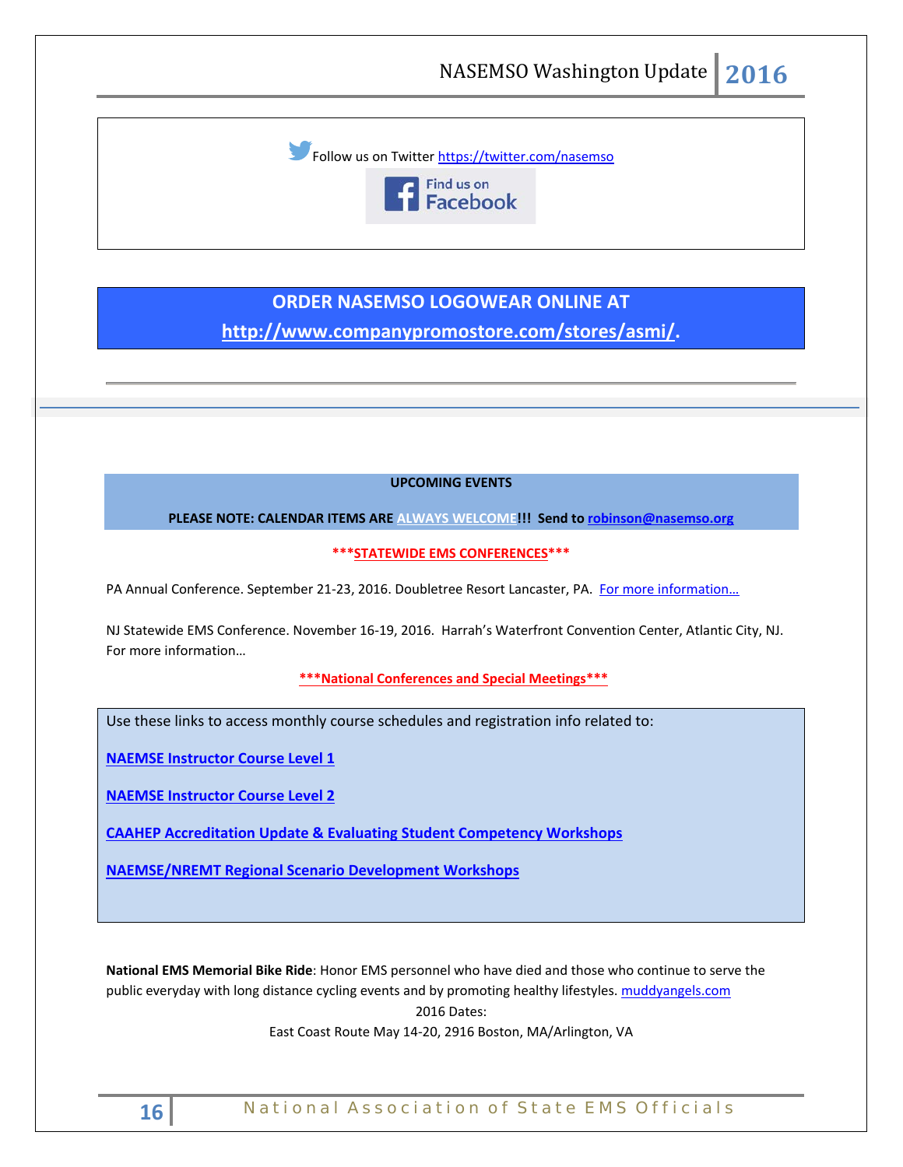Follow us on Twitter<https://twitter.com/nasemso>



# **ORDER NASEMSO LOGOWEAR ONLINE AT [http://www.companypromostore.com/stores/asmi/.](http://www.companypromostore.com/stores/asmi/)**

## **UPCOMING EVENTS**

**PLEASE NOTE: CALENDAR ITEMS ARE ALWAYS WELCOME!!! Send t[o robinson@nasemso.org](mailto:robinson@nasemso.org)**

**\*\*\*STATEWIDE EMS CONFERENCES\*\*\***

PA Annual Conference. September 21-23, 2016. Doubletree Resort Lancaster, PA. For more information...

NJ Statewide EMS Conference. November 16-19, 2016. Harrah's Waterfront Convention Center, Atlantic City, NJ. [For more information…](http://www.njemsconference.com/)

**\*\*\*National Conferences and Special Meetings\*\*\***

Use these links to access monthly course schedules and registration info related to:

**[NAEMSE Instructor Course Level 1](http://naemse.org/?page=LVL1InstructorCourse)**

**[NAEMSE Instructor Course Level 2](http://naemse.org/?page=LVL2InstructorCourse)**

**[CAAHEP Accreditation Update & Evaluating Student Competency Workshops](http://naemse.org/?page=coaemsp)**

**[NAEMSE/NREMT Regional Scenario Development Workshops](http://naemse.org/?page=nremt)**

**National EMS Memorial Bike Ride**: Honor EMS personnel who have died and those who continue to serve the public everyday with long distance cycling events and by promoting healthy lifestyles[. muddyangels.com](http://www.muddyangels.com/) 2016 Dates:

East Coast Route May 14-20, 2916 Boston, MA/Arlington, VA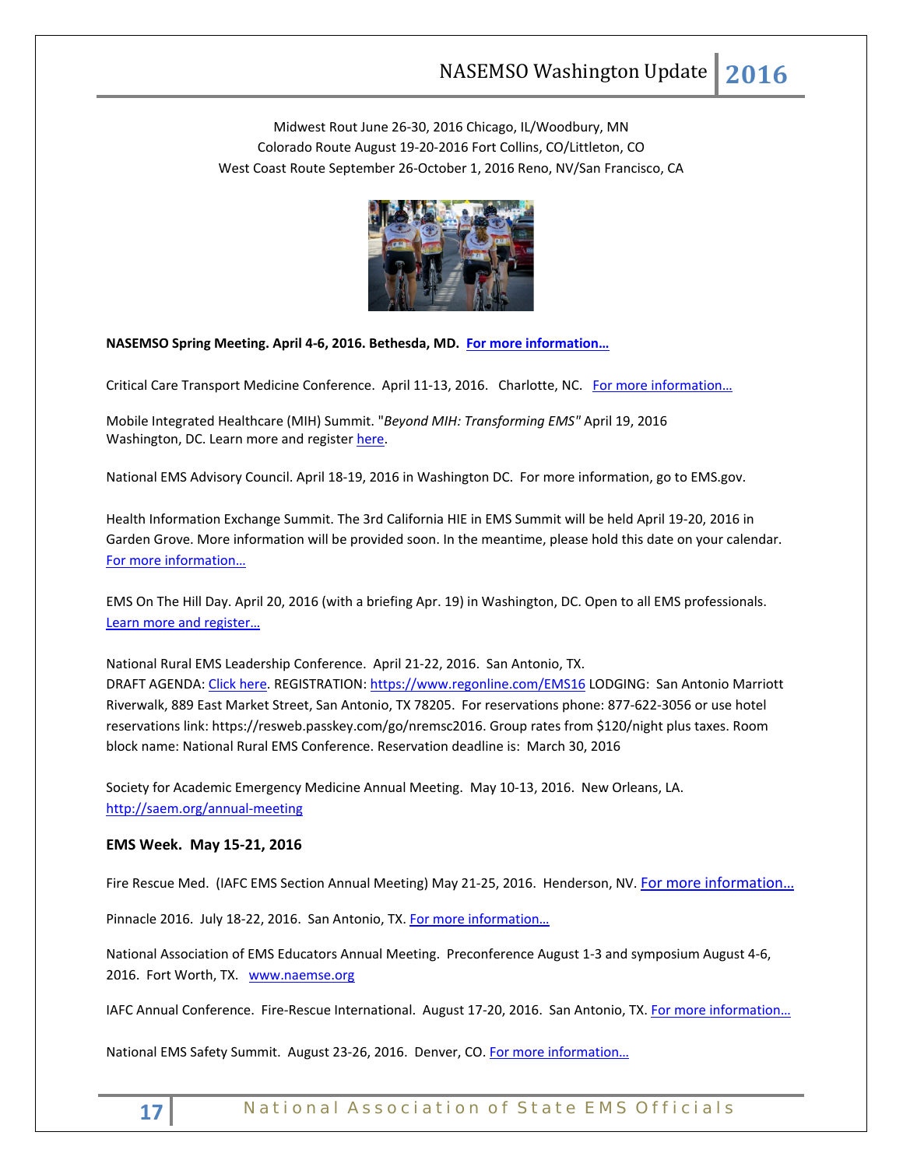Midwest Rout June 26-30, 2016 Chicago, IL/Woodbury, MN Colorado Route August 19-20-2016 Fort Collins, CO/Littleton, CO West Coast Route September 26-October 1, 2016 Reno, NV/San Francisco, CA



**NASEMSO Spring Meeting. April 4-6, 2016. Bethesda, MD. [For more information…](http://www.nasemso.org/Meetings/MidYear/index.asp)**

Critical Care Transport Medicine Conference. April 11-13, 2016. Charlotte, NC. For more information...

Mobile Integrated Healthcare (MIH) Summit. "*Beyond MIH: Transforming EMS"* April 19, 2016 Washington, DC. Learn more and register [here.](https://www.naemt.org/advocacy/emsonthehillday/EMSontheHillDay/ems-on-the-hill-day-registration)

National EMS Advisory Council. April 18-19, 2016 in Washington DC. For more information, go to EMS.gov.

Health Information Exchange Summit. The 3rd California HIE in EMS Summit will be held April 19-20, 2016 in Garden Grove. More information will be provided soon. In the meantime, please hold this date on your calendar. [For more information…](http://hieinemsinca.com/2015/11/07/3rd-california-hie-in-ems-summit-scheduled/)

EMS On The Hill Day. April 20, 2016 (with a briefing Apr. 19) in Washington, DC. Open to all EMS professionals. [Learn more and register…](http://www.naemt.org/advocacy/emsonthehillday.aspx)

National Rural EMS Leadership Conference. April 21-22, 2016. San Antonio, TX. DRAFT AGENDA[: Click here.](https://nosorh.org/wp-content/uploads/2014/12/Draft-Agenda-for-Website.docx) REGISTRATION:<https://www.regonline.com/EMS16> LODGING: San Antonio Marriott Riverwalk, 889 East Market Street, San Antonio, TX 78205. For reservations phone: 877-622-3056 or use hotel reservations link: [https://resweb.passkey.com/go/nremsc2016.](https://resweb.passkey.com/go/nremsc2016) Group rates from \$120/night plus taxes. Room block name: National Rural EMS Conference. Reservation deadline is: March 30, 2016

Society for Academic Emergency Medicine Annual Meeting. May 10-13, 2016. New Orleans, LA. <http://saem.org/annual-meeting>

## **EMS Week. May 15-21, 2016**

Fire Rescue Med. (IAFC EMS Section Annual Meeting) May 21-25, 2016. Henderson, NV. [For more information…](http://www.iafc.org/micrositeFRMconf/FRMhome.cfm?ItemNumber=8046)

Pinnacle 2016. July 18-22, 2016. San Antonio, TX. For more information...

National Association of EMS Educators Annual Meeting. Preconference August 1-3 and symposium August 4-6, 2016. Fort Worth, TX. [www.naemse.org](http://www.naemse.org/)

IAFC Annual Conference. Fire-Rescue International. August 17-20, 2016. San Antonio, TX. For more information...

National EMS Safety Summit. August 23-26, 2016. Denver, CO. For more information...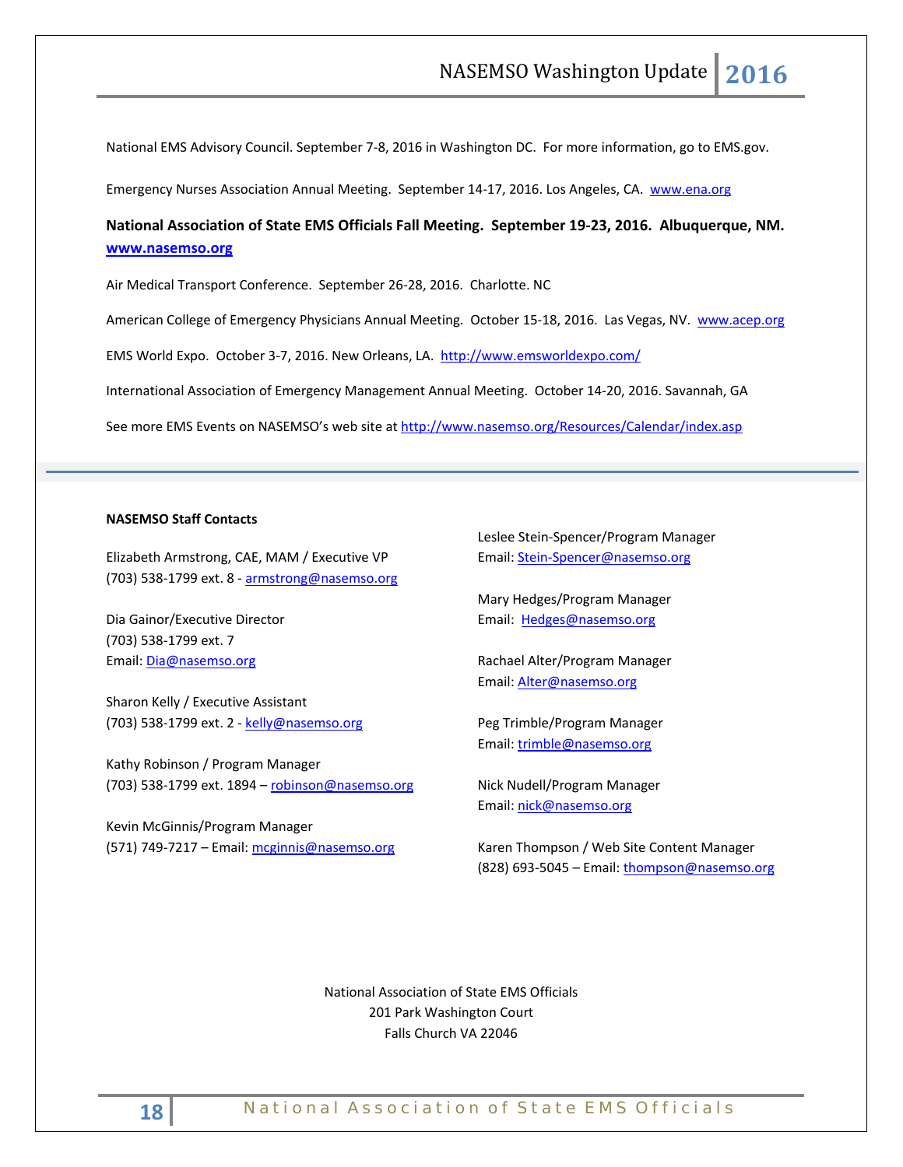National EMS Advisory Council. September 7-8, 2016 in Washington DC. For more information, go to EMS.gov.

Emergency Nurses Association Annual Meeting. September 14-17, 2016. Los Angeles, CA. [www.ena.org](http://www.ena.org/) 

## **National Association of State EMS Officials Fall Meeting. September 19-23, 2016. Albuquerque, NM. [www.nasemso.org](http://www.nasemso.org/)**

Air Medical Transport Conference. September 26-28, 2016. Charlotte. NC

American College of Emergency Physicians Annual Meeting. October 15-18, 2016. Las Vegas, NV. [www.acep.org](http://www.acep.org/)

EMS World Expo. October 3-7, 2016. New Orleans, LA. <http://www.emsworldexpo.com/>

International Association of Emergency Management Annual Meeting. October 14-20, 2016. Savannah, GA

See more EMS Events on NASEMSO's web site at<http://www.nasemso.org/Resources/Calendar/index.asp>

## **NASEMSO Staff Contacts**

Elizabeth Armstrong, CAE, MAM / Executive VP (703) 538-1799 ext. 8 - [armstrong@nasemso.org](mailto:armstrong@nasemso.org)

Dia Gainor/Executive Director (703) 538-1799 ext. 7 Email: [Dia@nasemso.org](mailto:Dia@nasemso.org)

Sharon Kelly / Executive Assistant (703) 538-1799 ext. 2 - [kelly@nasemso.org](mailto:kelly@nasemso.org)

Kathy Robinson / Program Manager (703) 538-1799 ext. 1894 – [robinson@nasemso.org](mailto:robinson@nasemso.org)

Kevin McGinnis/Program Manager (571) 749-7217 – Email: [mcginnis@nasemso.org](mailto:mcginnis@nasemso.org)

Leslee Stein-Spencer/Program Manager Email: [Stein-Spencer@nasemso.org](mailto:Stein-Spencer@nasemso.org)

Mary Hedges/Program Manager Email: [Hedges@nasemso.org](mailto:Hedges@nasemso.org)

Rachael Alter/Program Manager Email: [Alter@nasemso.org](mailto:Alter@nasemso.org) 

Peg Trimble/Program Manager Email: [trimble@nasemso.org](mailto:trimble@nasemso.org)

Nick Nudell/Program Manager Email: [nick@nasemso.org](mailto:nick@nasemso.org)

Karen Thompson / Web Site Content Manager (828) 693-5045 - Email: [thompson@nasemso.org](mailto:thompson@nasemso.org)

National Association of State EMS Officials 201 Park Washington Court Falls Church VA 22046